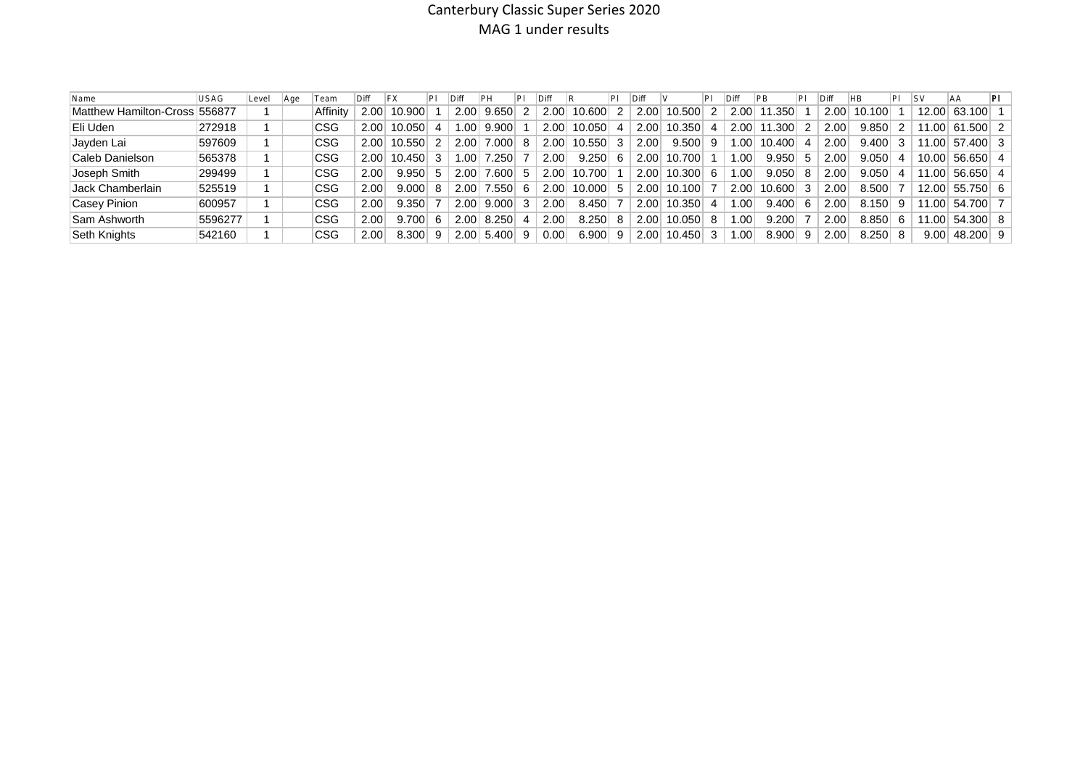# Canterbury Classic Super Series 2020 MAG 1 under results

| Name                          | <b>USAG</b> | Level | l Age | Team     | $\mathsf{IDiff}$ |        |                   |                 |              |      |                       |    | Diff              |        |   |                   |                |     |      | <b>IHB</b> |    | ISV                | 'AA                  | ΡI |
|-------------------------------|-------------|-------|-------|----------|------------------|--------|-------------------|-----------------|--------------|------|-----------------------|----|-------------------|--------|---|-------------------|----------------|-----|------|------------|----|--------------------|----------------------|----|
| Matthew Hamilton-Cross 556877 |             |       |       | Affinitv | 2.00             | 10.900 | 2.00              | 9.650           |              | 2.00 | 10.600                |    | 2.00              | 10.500 | 2 | 2.00 <sub>1</sub> | ∃350.،<br>∣ 11 |     | 2.00 | 10.100     |    | 12.00              | 63.100               |    |
| Eli Uden                      | 272918      |       |       | CSG      | 2.00             | 10.050 | 1.00 <sub>1</sub> | 9.900           |              | 2.00 | $10.050$ 4            |    | 2.00              | 10.350 | 4 | 2.00              | .300           |     | 2.00 | 9.850      |    | 11.00              | 61<br>.500 2         |    |
| Jayden Lai                    | 597609      |       |       | CSG      | 2.00             | 10.550 | 2.00              | 7.000           | 8            | 2.00 | $10.550$ 3            |    | 2.00              | 9.500  | 9 | 1.00              | 10.400         | -4  | 2.00 | 9.400      |    | 11.00              | 57.400 3             |    |
| Caleb Danielson               | 565378      |       |       | CSG      | 2.00             | 10.450 | 1.00              | $^{\prime}.250$ |              | 2.00 | $9.250 \, \vert \, 6$ |    | 2.00              | 10.700 |   | 1.00              | 9.950          | 5   | 2.00 | 9.050      |    | 10.00              | $56.650 \mid 4 \mid$ |    |
| Joseph Smith                  | 299499      |       |       | CSG      | 2.00             | 9.950  | 2.00              | .600            | 5.           | 2.00 | 10.700                |    | 2.00              | 10.300 | 6 | 1.00              | 9.050          | 8   | 2.00 | 9.050      |    | 11.00              | $56.650 \mid 4 \mid$ |    |
| Jack Chamberlain              | 525519      |       |       | CSG      | 2.00             | 9.000  | 2.00              | 7.550           | 6            | 2.00 | $10,000$ 5            |    | 2.00              | 10.100 |   | 2.00              | $10.600$ 3     |     | 2.00 | 8.500      |    | 12.00              | $55.750$ 6           |    |
| Casey Pinion                  | 600957      |       |       | CSG      | 2.00             | 9.350  | 2.00              | 9.000           | $\mathbf{3}$ | 2.00 | 8.450                 |    | 2.00 <sub>1</sub> | 10.350 | 4 | 1.00              | 9.400          | - 6 | 2.00 | 8.150      | -9 | 11.00              | 54.700 7             |    |
| Sam Ashworth                  | 5596277     |       |       | CSG      | 2.00             | 9.700  | 2.00              | 8.250           |              | 2.00 | $8.250 \,   \, 8$     |    | 2.00              | 10.050 | 8 | 1.00              | 9.200          |     | 2.00 | 8.850      | 6  | 11.00 <sub>1</sub> | $54.300$ 8           |    |
| Seth Knights                  | 542160      |       |       | CSG      | 2.00             | 8.300  | 2.00              | 5.400           | 9            | 0.00 | 6.900                 | -9 | 2.00              | 10.450 | 3 | 1.00              | 8.900          | -9  | 2.00 | 8.250      |    | 9.00               | 48.200 9             |    |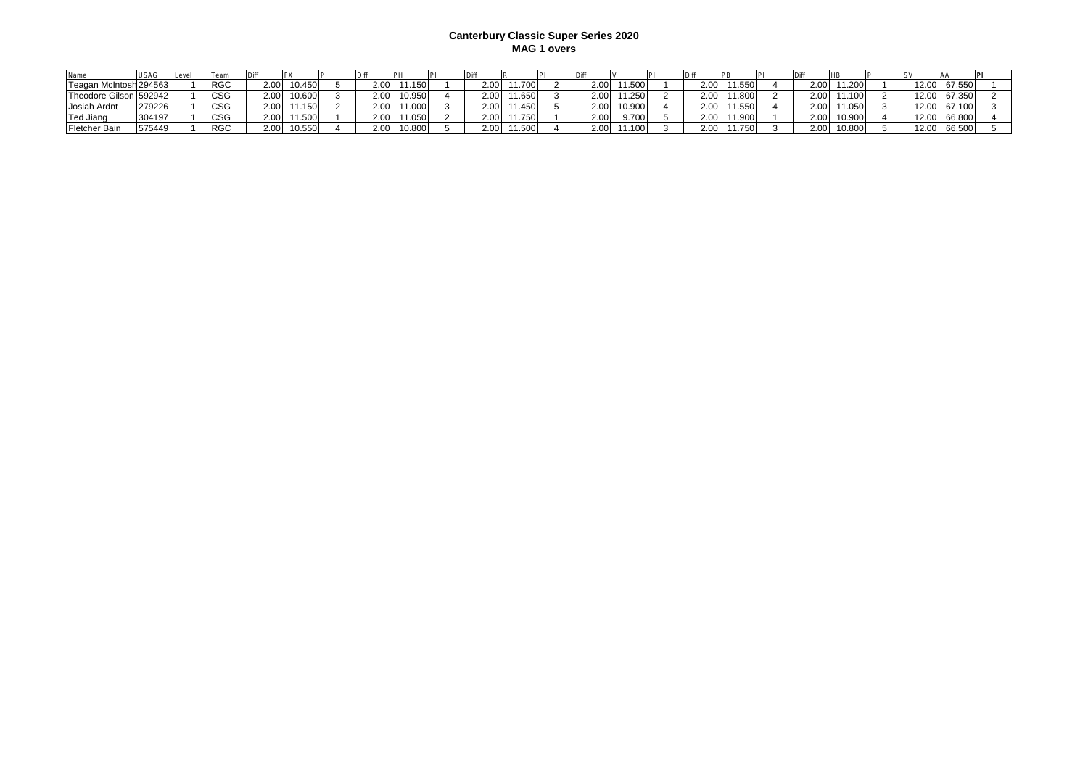#### **Canterbury Classic Super Series 2020 MAG 1 overs**

|                        |        | Leve | leam       |      |        |                   |        |          |       |      |        |                   |        |                |       |              |  |
|------------------------|--------|------|------------|------|--------|-------------------|--------|----------|-------|------|--------|-------------------|--------|----------------|-------|--------------|--|
| Teagan McIntosh 294563 |        |      | <b>RGC</b> | 2.00 | 0.450  | 2.00              | 1.150  | 2.00     |       | 2.00 |        | 2.00              | 1.550  | 2.00<br>11.200 |       | 12.00 67.550 |  |
| Theodore Gilson 592942 |        |      | <b>CSG</b> | 2.00 | 10.600 |                   | 10.950 | 2 V      | 1.65C | 2.00 | 1.250  | 2.00 <sub>1</sub> | 1.800  | 2.00<br>1.100  |       | 12.00 67.350 |  |
| Josiah Ardnt           | 279226 |      | <b>CSG</b> | 2.00 | . 150  | 2.00              | 1.000  | 2.00     | 1.450 | 2.00 | 10.900 | 2.00              | 1.550  | 2.00<br>11.050 |       | 12.00 67.100 |  |
| Ted Jiang              | 304197 |      | CSG        | 2.00 | .500   | 2.00              | 1.0501 | 2.00     | 1.750 | 2.00 |        | 2.00              | 1.900  | 2.00<br>10.900 |       | 12.00 66.800 |  |
| Fletcher Bain          | 575449 |      | <b>RGC</b> | 2.00 | 10.550 | 2.00 <sub>1</sub> | 10.800 | $\Omega$ |       | 2.00 |        | 2.00              | 1.750. | 2.00<br>10.800 | 12.00 | 66.500       |  |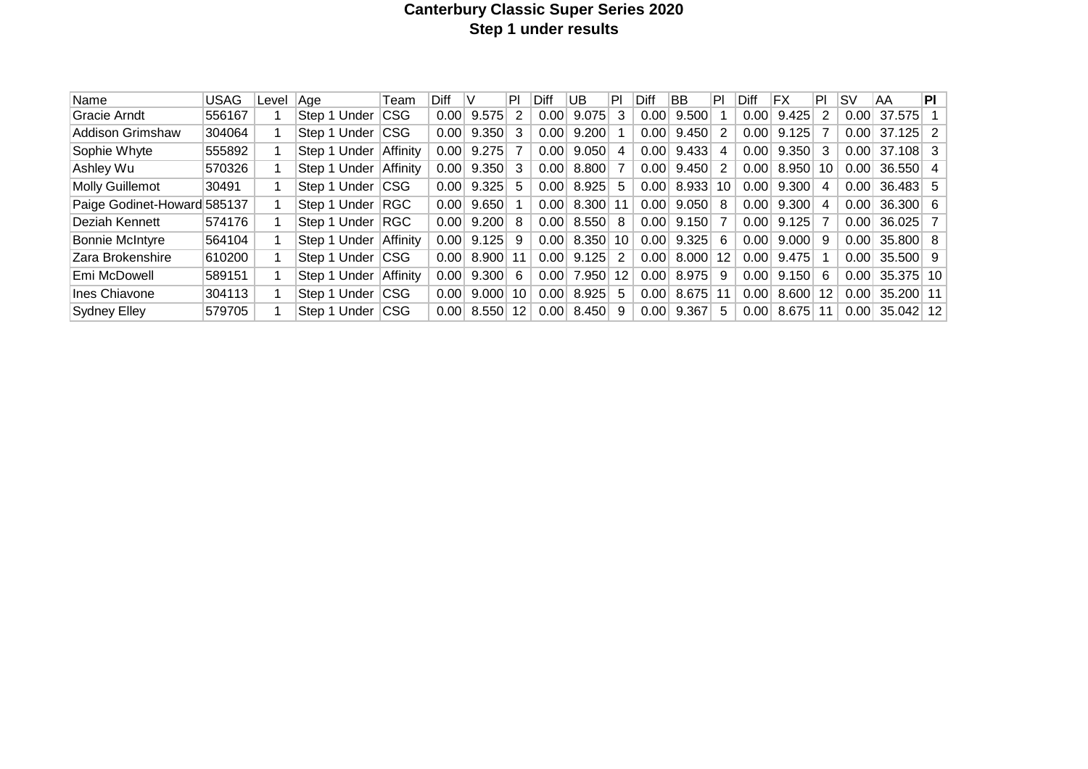# **Canterbury Classic Super Series 2020 Step 1 under results**

| Name                        | USAG   | Level | Aae          | Team       | Diff | V     | ΙPΙ | Diff | UB    | PI      | Diff        | ΒB         | PI  | ∣Diff | ΙFΧ   | PI | ۱s۷  | AA              | <b>PI</b> |
|-----------------------------|--------|-------|--------------|------------|------|-------|-----|------|-------|---------|-------------|------------|-----|-------|-------|----|------|-----------------|-----------|
| Gracie Arndt                | 556167 |       | Step 1 Under | <b>CSG</b> | 0.00 | 9.575 | 2   | 0.00 | 9.075 | 3       | 0.001       | 9.500      |     | 0.00  | 9.425 | 2  | 0.00 | 37.575          |           |
| Addison Grimshaw            | 304064 |       | Step 1 Under | <b>CSG</b> | 0.00 | 9.350 | 3   | 0.00 | 9.200 |         | 0.00        | 9.450      | -2  | 0.00  | 9.125 | 7  | 0.00 | $37.125$ 2      |           |
| Sophie Whyte                | 555892 |       | Step 1 Under | Affinity   | 0.00 | 9.275 |     | 0.00 | 9.050 | 4       | 0.00        | 9.433      | -4  | 0.00  | 9.350 | 3  | 0.00 | $37.108$ 3      |           |
| Ashley Wu                   | 570326 |       | Step 1 Under | Affinity   | 0.00 | 9.350 | 3   | 0.00 | 8.800 |         | $0.00\vert$ | 9.450      | - 2 | 0.00  | 8.950 | 10 | 0.00 | 36.550          | -4        |
| <b>Molly Guillemot</b>      | 30491  |       | Step 1 Under | <b>CSG</b> | 0.00 | 9.325 | 5   | 0.00 | 8.925 | 5.      | 0.00        | 8.933      | 10  | 0.00  | 9.300 | 4  | 0.00 | $36.483$ 5      |           |
| Paige Godinet-Howard 585137 |        |       | Step 1 Under | RGC        | 0.00 | 9.650 |     | 0.00 | 8.300 | 11      | 0.00        | 9.050      | -8  | 0.00  | 9.300 | 4  | 0.00 | $36.300 \mid 6$ |           |
| Deziah Kennett              | 574176 |       | Step 1 Under | RGC        | 0.00 | 9.200 | 8   | 0.00 | 8.550 | 8       | 0.00        | 9.150      |     | 0.00  | 9.125 | 7  | 0.00 | $36.025$ 7      |           |
| <b>Bonnie McIntyre</b>      | 564104 |       | Step 1 Under | Affinity   | 0.00 | 9.125 | 9   | 0.00 | 8.350 | 10      | 0.00        | 9.325      | - 6 | 0.00  | 9.000 | 9  | 0.00 | $35.800$ 8      |           |
| Zara Brokenshire            | 610200 |       | Step 1 Under | <b>CSG</b> | 0.00 | 8.900 | 11  | 0.00 | 9.125 | 2       | 0.00        | 8.000      | 12  | 0.00  | 9.475 |    | 0.00 | $35.500$ 9      |           |
| Emi McDowell                | 589151 |       | Step 1 Under | Affinity   | 0.00 | 9.300 | 6   | 0.00 | 7.950 | $12 \,$ | $0.00\,$    | 8.975      | -9  | 0.00  | 9.150 | -6 | 0.00 | $35.375$   10   |           |
| Ines Chiavone               | 304113 |       | Step 1 Under | CSG        | 0.00 | 9.000 | 10  | 0.00 | 8.925 | 5       | 0.00        | $8.675$ 11 |     | 0.00  | 8.600 | 12 | 0.00 | 35.200 11       |           |
| Sydney Elley                | 579705 |       | Step 1 Under | <b>CSG</b> | 0.00 | 8.550 | 12  | 0.00 | 8.450 | 9       | 0.00        | 9.367      | -5  | 0.00  | 8.675 | 11 | 0.00 | $35.042$ 12     |           |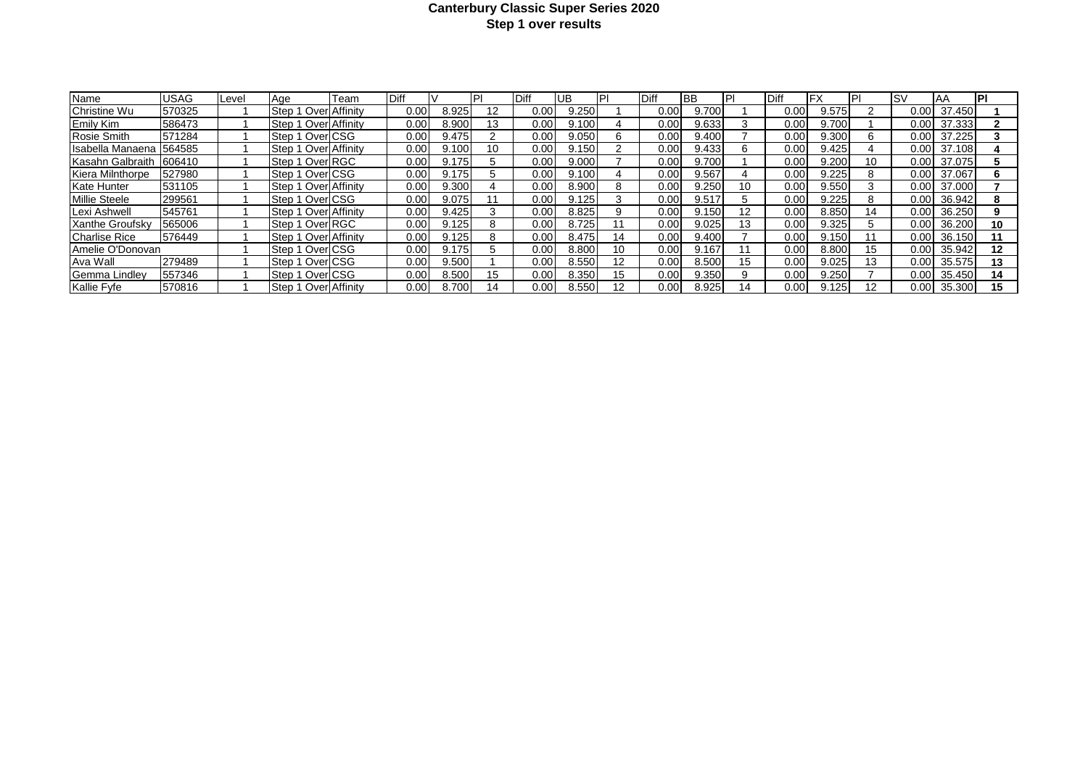#### **Canterbury Classic Super Series 2020 Step 1 over results**

| Name                   | JSAG   | Level | Aae                    | Team | Diff |       |    | <b>IDiff</b> | UB    | PI | <b>IDiff</b>      | IBB   |    | <b>Diff</b>         | IFX   |    | <b>ISV</b>        | IAA    | <b>IPI</b> |
|------------------------|--------|-------|------------------------|------|------|-------|----|--------------|-------|----|-------------------|-------|----|---------------------|-------|----|-------------------|--------|------------|
| <b>Christine Wu</b>    | 570325 |       | Step 1 Over Affinity   |      | 0.00 | 8.925 | 12 | $0.00 \,$    | 9.250 |    | 0.00              | 9.700 |    | 0.00 <sub>l</sub>   | 9.575 |    | 0.001             | 37.450 |            |
| Emily Kim              | 586473 |       | Step 1 Over Affinity   |      | 0.00 | 8.900 | 13 | $0.00 \,$    | 9.100 |    | 0.00              | 9.633 |    | $0.00 \ \mathsf{I}$ | 9.700 |    | 0.00              | 37.333 |            |
| <b>Rosie Smith</b>     | 571284 |       | <b>Step 1 OverLCSG</b> |      | 0.00 | 9.475 |    | 0.001        | 9.050 | h  | 0.00              | 9.400 |    | 0.00                | 9.300 | 6  | 0.00              | 37.225 |            |
| Isabella Manaena       | 564585 |       | Step 1 Over Affinity   |      | 0.00 | 9.100 | 10 | $0.00 \,$    | 9.150 |    | 0.00              | 9.433 | n. | 0.00 <sub>l</sub>   | 9.425 |    | 0.00              | 37.108 |            |
| Kasahn Galbraith       | 606410 |       | Step 1 Over RGC        |      | 0.00 | 9.175 |    | $0.00 \,$    | 9.000 |    | 0.00              | 9.700 |    | 0.00                | 9.200 | 10 | 0.00              | 37.075 |            |
| Kiera Milnthorpe       | 527980 |       | Step 1 Over CSG        |      | 0.00 | 9.175 |    | $0.00 \,$    | 9.100 |    | 0.00              | 9.567 |    | 0.00 <sub>l</sub>   | 9.225 | 8  | 0.00              | 37.067 |            |
| <b>Kate Hunter</b>     | 531105 |       | Step 1 Over Affinity   |      | 0.00 | 9.300 |    | 0.001        | 8.900 | 8  | $0.00\,$          | 9.250 | 10 | 0.00 <sub>l</sub>   | 9.550 |    | 0.001             | 37.000 |            |
| <b>Millie Steele</b>   | 299561 |       | Step 1 Over CSG        |      | 0.00 | 9.075 |    | 0.00         | 9.125 |    | $0.00\,$          | 9.517 |    | 0.00                | 9.225 | 8  | 0.00 <sub>l</sub> | 36.942 |            |
| Lexi Ashwell           | 545761 |       | Step 1 Over Affinity   |      | 0.00 | 9.425 |    | $0.00 \,$    | 8.825 |    | $0.00\,$          | 9.150 |    | $0.00 \mid$         | 8.850 | 14 | 0.00              | 36.250 |            |
| <b>Xanthe Groufsky</b> | 565006 |       | <b>Step 1 Over RGC</b> |      | 0.00 | 9.125 |    | 0.001        | 8.725 |    | $0.00\,$          | 9.025 |    | 0.00 <sub>l</sub>   | 9.325 |    | 0.00 <sub>l</sub> | 36.200 | 10         |
| <b>Charlise Rice</b>   | 576449 |       | Step 1 Over Affinity   |      | 0.00 | 9.125 |    | 0.001        | 8.475 | 14 | $0.00 \mathsf{I}$ | 9.400 |    | 0.001               | 9.150 |    | 0.00 <sub>l</sub> | 36.150 |            |
| Amelie O'Donovan       |        |       | <b>Step 1 OverLCSG</b> |      | 0.00 | 9.175 |    | 0.00         | 8.800 | 10 | 0.00              | 9.167 |    | 0.00                | 8.800 |    | 0.00              | 35.942 | 12         |
| Ava Wall               | 279489 |       | Step 1 Over CSG        |      | 0.00 | 9.500 |    | 0.001        | 8.550 | 12 | 0.00              | 8.500 | 15 | 0.00 <sub>l</sub>   | 9.025 | 13 | 0.00              | 35.575 | 13         |
| Gemma Lindlev          | 557346 |       | <b>Step 1 OverLCSG</b> |      | 0.00 | 8.500 | 15 | 0.001        | 8.350 | 15 | $0.00\,$          | 9.350 |    | 0.00 <sub>l</sub>   | 9.250 |    | $0.00\,$          | 35.450 | 14         |
| Kallie Fyfe            | 570816 |       | Step 1 Over Affinity   |      | 0.00 | 8.700 | 14 | $0.00 \,$    | 8.550 |    | 0.00              | 8.925 | 14 | $0.00 \mid$         | 9.125 |    | $0.00\,$          | 35.300 | 15         |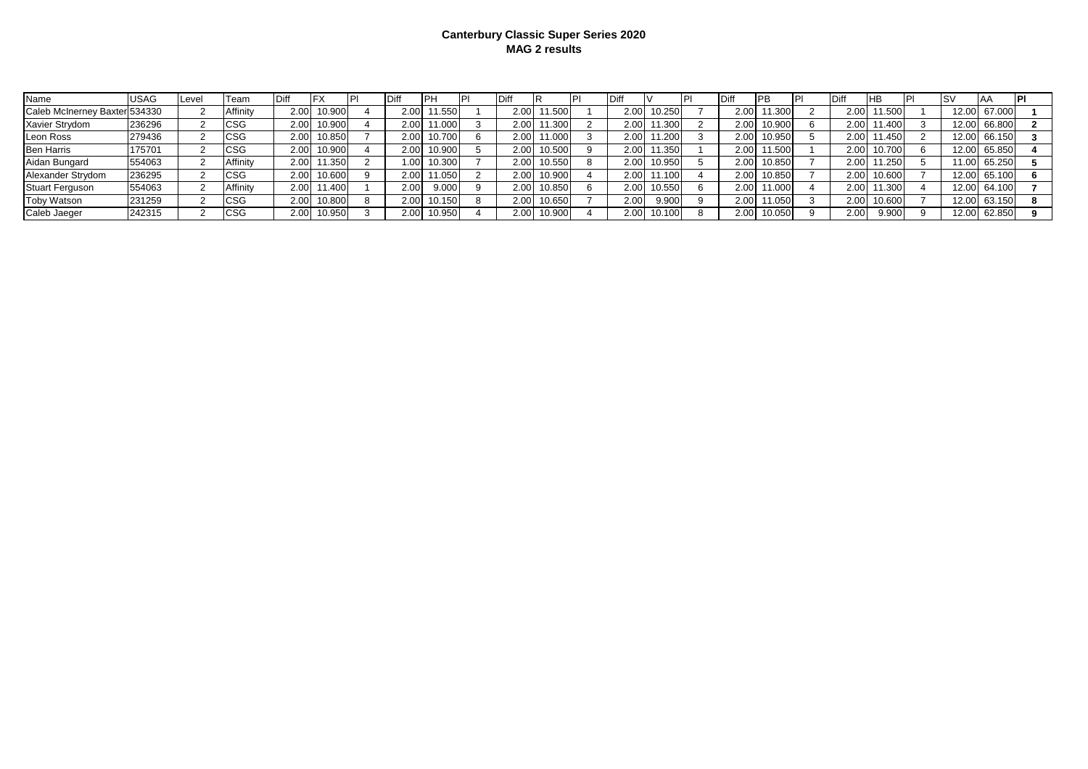#### **Canterbury Classic Super Series 2020 MAG 2 results**

| Name                          | USAG   | Level | Team     | <b>IDiff</b>      |        |      |        | Diff |        | Diff              |        | Diff              | <b>PB</b> | Diff | HВ     | Is۷   | I A A  |  |
|-------------------------------|--------|-------|----------|-------------------|--------|------|--------|------|--------|-------------------|--------|-------------------|-----------|------|--------|-------|--------|--|
| Caleb McInerney Baxter 534330 |        |       | Affinitv | 2.00 <sub>l</sub> | 10.900 | 2.00 | 11.550 | 2.00 | 11.500 | 2.00              | 10.250 | 2.00              | 11.300    | 2.00 | 1.500  | 12.00 | 67.000 |  |
| Xavier Strydom                | 236296 |       | CSG      | 2.00              | 10.900 | 2.00 | 11.000 | 2.00 | 1.300  | 2.00 <sub>1</sub> | 11.300 | 2.00              | 10.900    | 2.00 | 1.400  | 12.00 | 66.800 |  |
| Leon Ross                     | 279436 |       | CSG      | 2.00 <sub>1</sub> | 10.850 | 2.00 | 10.700 | 2.00 | 1.000  | 2.00 <sub>1</sub> | 11.200 | 2.00              | 10.950    | 2.00 | 1.450  | 12.00 | 66.150 |  |
| <b>Ben Harris</b>             | 175701 |       | CSG      | 2.00              | 10.900 | 2.00 | 0.900  | 2.00 | 10.500 | 2.00              | 11.350 | 2.00              | 11.500    | 2.00 | 10.700 | 12.00 | 65.850 |  |
| Aidan Bungard                 | 554063 |       | Affinitv | 2.00              | 11.350 | .001 | 10.300 | 2.00 | 10.550 | 2.00 <sub>1</sub> | 10.950 | 2.00              | 10.850    | 2.0C | 1.250  | 11.00 | 65.250 |  |
| Alexander Strydom             | 236295 |       | CSG      | 2.00              | 10.600 | 2.00 | 11.050 | 2.00 | 10.900 | 2.00              | 11.100 | 2.00              | 10.850    | 2.00 | 10.600 | 12.00 | 65.100 |  |
| <b>Stuart Ferguson</b>        | 554063 |       | Affinity | 2.00              | 1.40C  | 2.00 | 9.000  | 2.00 | 10.850 | 2.00 <sub>1</sub> | 10.550 | 2.00              |           | 2.00 | 1.300  | 12.00 | 64.100 |  |
| <b>Toby Watson</b>            | 231259 |       | CSG      | 2.00              | 10.800 | 2.00 | 0.150  | 2.00 | 10.650 | 2.00              | 9.900  | 2.00 <sub>1</sub> | 11.050    | 2.00 | 10.600 | 12.00 | 63.150 |  |
| Caleb Jaeger                  | 242315 |       | CSG      | 2.00              | 10.950 | 2.00 | 10.950 | 2.00 | 10.900 | 2.00              | 10.100 | 2.00              | 10.050    | 2.00 | 9.900  | 12.00 | 62.850 |  |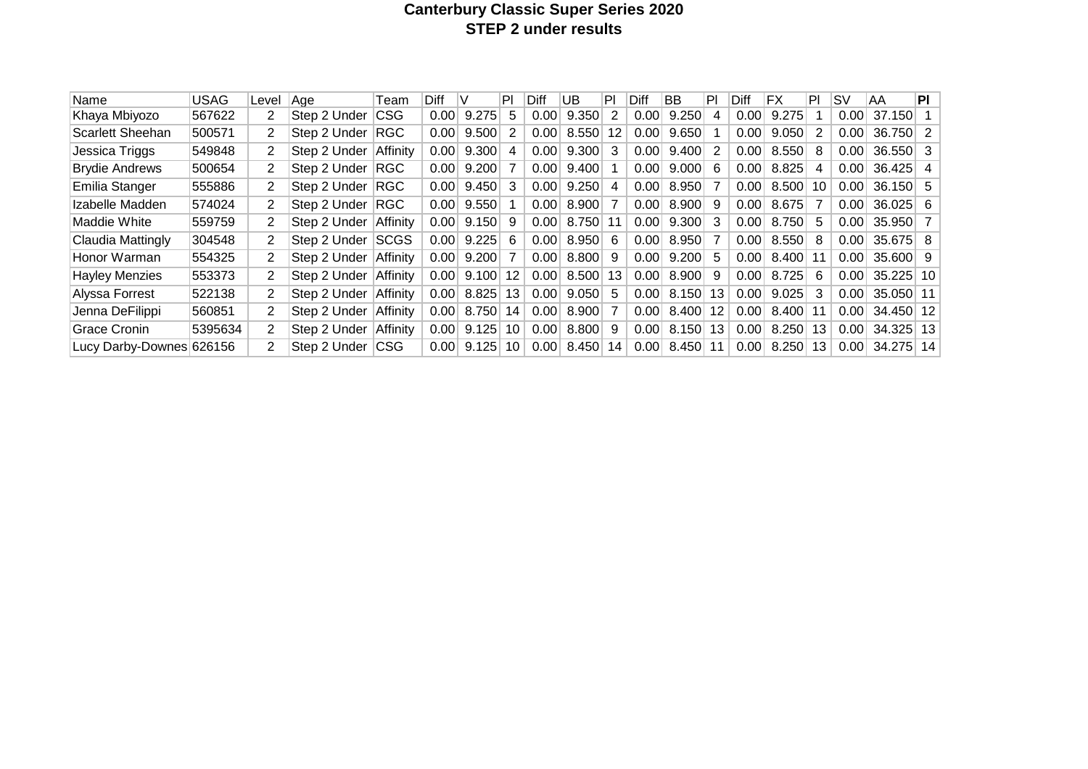# **Canterbury Classic Super Series 2020 STEP 2 under results**

| Name                    | <b>USAG</b> | Level | Aae          | Team        | Diff |       | PI | Diff | UB    | PI | Diff | BB    | PI | Diff | FX    | PI | SV   | AA              | ΡI  |
|-------------------------|-------------|-------|--------------|-------------|------|-------|----|------|-------|----|------|-------|----|------|-------|----|------|-----------------|-----|
| Khaya Mbiyozo           | 567622      | 2     | Step 2 Under | <b>CSG</b>  | 0.00 | 9.275 | 5. | 0.00 | 9.350 | 2  | 0.00 | 9.250 | 4  | 0.00 | 9.275 |    | 0.00 | 37.150          |     |
| <b>Scarlett Sheehan</b> | 500571      | 2     | Step 2 Under | <b>RGC</b>  | 0.00 | 9.500 | 2  | 0.00 | 8.550 | 12 | 0.00 | 9.650 |    | 0.00 | 9.050 | 2  | 0.00 | 36.750 2        |     |
| Jessica Triggs          | 549848      | 2     | Step 2 Under | Affinity    | 0.00 | 9.300 | 4  | 0.00 | 9.300 | 3  | 0.00 | 9.400 | 2  | 0.00 | 8.550 | 8  | 0.00 | $36.550$ 3      |     |
| <b>Brydie Andrews</b>   | 500654      | 2     | Step 2 Under | <b>RGC</b>  | 0.00 | 9.200 |    | 0.00 | 9.400 |    | 0.00 | 9.000 | 6  | 0.00 | 8.825 | 4  | 0.00 | 36.425          | -4  |
| Emilia Stanger          | 555886      | 2     | Step 2 Under | <b>RGC</b>  | 0.00 | 9.450 | 3  | 0.00 | 9.250 | 4  | 0.00 | 8.950 |    | 0.00 | 8.500 | 10 | 0.00 | $36.150$ 5      |     |
| Izabelle Madden         | 574024      | 2     | Step 2 Under | <b>RGC</b>  | 0.00 | 9.550 |    | 0.00 | 8.900 |    | 0.00 | 8.900 | 9  | 0.00 | 8.675 |    | 0.00 | $36.025 \mid 6$ |     |
| Maddie White            | 559759      | 2     | Step 2 Under | Affinity    | 0.00 | 9.150 | 9  | 0.00 | 8.750 |    | 0.00 | 9.300 | 3  | 0.00 | 8.750 | 5  | 0.00 | 35.950 7        |     |
| Claudia Mattingly       | 304548      | 2     | Step 2 Under | <b>SCGS</b> | 0.00 | 9.225 | 6  | 0.00 | 8.950 | 6  | 0.00 | 8.950 |    | 0.00 | 8.550 | 8  | 0.00 | $35.675$ 8      |     |
| Honor Warman            | 554325      | 2     | Step 2 Under | Affinity    | 0.00 | 9.200 |    | 0.00 | 8.800 | 9  | 0.00 | 9.200 | 5  | 0.00 | 8.400 | 11 | 0.00 | $35.600$ 9      |     |
| <b>Hayley Menzies</b>   | 553373      | 2     | Step 2 Under | Affinity    | 0.00 | 9.100 | 12 | 0.00 | 8.500 | 13 | 0.00 | 8.900 | 9  | 0.00 | 8.725 | 6  | 0.00 | $35.225$ 10     |     |
| Alyssa Forrest          | 522138      | 2     | Step 2 Under | Affinity    | 0.00 | 8.825 | 13 | 0.00 | 9.050 | 5  | 0.00 | 8.150 | 13 | 0.00 | 9.025 | 3  | 0.00 | 35.050 11       |     |
| Jenna DeFilippi         | 560851      | 2     | Step 2 Under | Affinity    | 0.00 | 8.750 | 14 | 0.00 | 8.900 |    | 0.00 | 8.400 | 12 | 0.00 | 8.400 | 11 | 0.00 | 34.450 12       |     |
| <b>Grace Cronin</b>     | 5395634     | 2     | Step 2 Under | Affinity    | 0.00 | 9.125 | 10 | 0.00 | 8.800 | 9  | 0.00 | 8.150 | 13 | 0.00 | 8.250 | 13 | 0.00 | 34.325          | -13 |
| Lucy Darby-Downes       | 626156      | 2     | Step 2 Under | <b>CSG</b>  | 0.00 | 9.125 | 10 | 0.00 | 8.450 | 14 | 0.00 | 8.450 | 11 | 0.00 | 8.250 | 13 | 0.00 | 34.275          | 14  |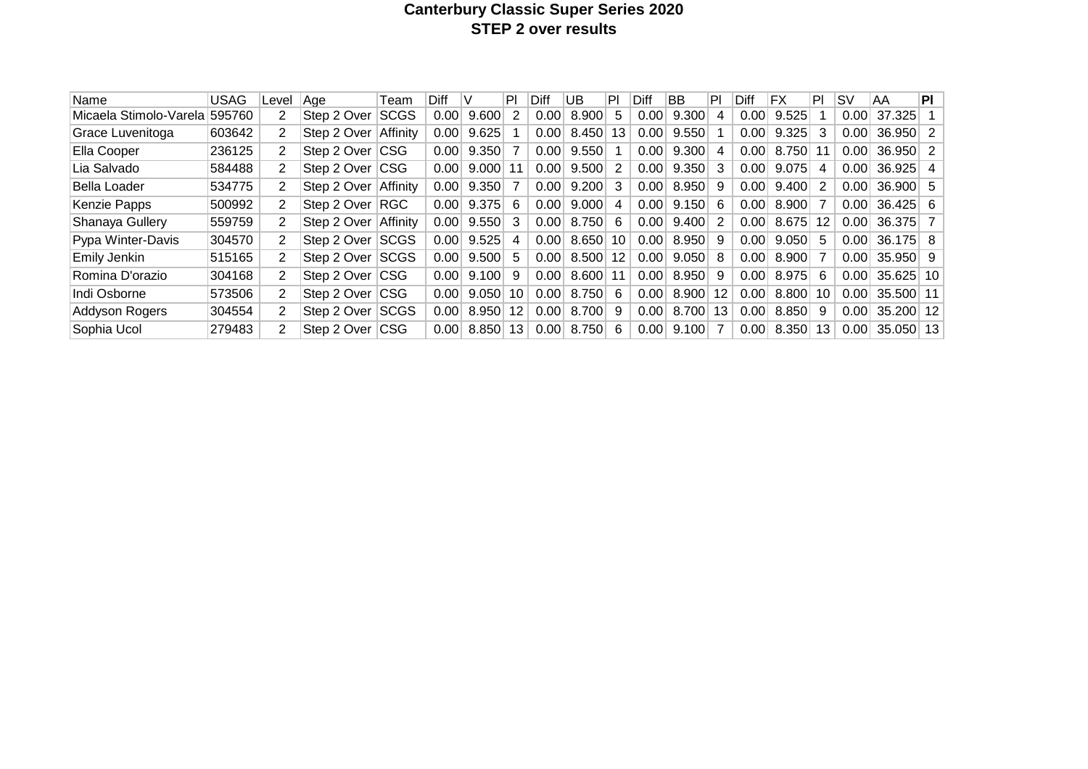# **Canterbury Classic Super Series 2020 STEP 2 over results**

| Name                          | <b>USAG</b> | Level          | Aae             | Team        | Diff |       | PI | Diff  | UB    | PI      | Diff | <b>BB</b> | PI             | Diff | FX    | PI | <b>SV</b> | AA              | ΡI             |
|-------------------------------|-------------|----------------|-----------------|-------------|------|-------|----|-------|-------|---------|------|-----------|----------------|------|-------|----|-----------|-----------------|----------------|
| Micaela Stimolo-Varela 595760 |             | 2              | Step 2 Over     | <b>SCGS</b> | 0.00 | 9.600 | 2  | 0.00  | 8.900 | 5.      | 0.00 | 9.300     | 4              | 0.00 | 9.525 |    | 0.00      | 37.325          |                |
| Grace Luvenitoga              | 603642      | 2              | Step 2 Over     | Affinity    | 0.00 | 9.625 |    | 0.00  | 8.450 | 13      | 0.00 | 9.550     |                | 0.00 | 9.325 | 3  | 0.00      | $36.950$ 2      |                |
| Ella Cooper                   | 236125      | 2              | Step 2 Over CSG |             | 0.00 | 9.350 |    | 0.00  | 9.550 |         | 0.00 | 9.300     | 4              | 0.00 | 8.750 | 11 | 0.00      | $36.950$ 2      |                |
| Lia Salvado                   | 584488      | 2              | Step 2 Over CSG |             | 0.00 | 9.000 | 11 | 0.00  | 9.500 | 2       | 0.00 | 9.350     | 3              | 0.00 | 9.075 | 4  | 0.00      | 36.925          | $\overline{4}$ |
| Bella Loader                  | 534775      | 2              | Step 2 Over     | Affinity    | 0.00 | 9.350 |    | 0.00  | 9.200 | 3       | 0.00 | 8.950     | 9              | 0.00 | 9.400 | 2  | 0.00      | $36.900$ 5      |                |
| Kenzie Papps                  | 500992      | 2              | Step 2 Over     | ∣RGC        | 0.00 | 9.375 | 6  | 0.00  | 9.000 | 4       | 0.00 | 9.150     | 6              | 0.00 | 8.900 | 7  | 0.00      | $36.425 \mid 6$ |                |
| Shanaya Gullery               | 559759      | 2              | Step 2 Over     | Affinity    | 0.00 | 9.550 | 3  | 0.001 | 8.750 | 6       | 0.00 | 9.400     | 2              | 0.00 | 8.675 | 12 | 0.00      | 36.375 7        |                |
| Pypa Winter-Davis             | 304570      | $\overline{2}$ | Step 2 Over     | <b>SCGS</b> | 0.00 | 9.525 | 4  | 0.00  | 8.650 | 10      | 0.00 | 8.950     | 9              | 0.00 | 9.050 | 5  | 0.00      | $36.175$ 8      |                |
| Emily Jenkin                  | 515165      | $\overline{2}$ | Step 2 Over     | <b>SCGS</b> | 0.00 | 9.500 | 5  | 0.00  | 8.500 | $12 \,$ | 0.00 | 9.050     | 8              | 0.00 | 8.900 | 7  | 0.00      | $35.950$ 9      |                |
| Romina D'orazio               | 304168      | 2              | Step 2 Over CSG |             | 0.00 | 9.100 | 9  | 0.00  | 8.600 | 11      | 0.00 | 8.950     | 9              | 0.00 | 8.975 | 6  | 0.00      | $35.625$   10   |                |
| Indi Osborne                  | 573506      | $\overline{2}$ | Step 2 Over CSG |             | 0.00 | 9.050 | 10 | 0.00  | 8.750 | -6      | 0.00 | 8.900     | 12             | 0.00 | 8.800 | 10 | 0.00      | 35.500 11       |                |
| <b>Addyson Rogers</b>         | 304554      | $\overline{2}$ | Step 2 Over     | <b>SCGS</b> | 0.00 | 8.950 | 12 | 0.00  | 8.700 | 9       | 0.00 | 8.700     | 13             | 0.00 | 8.850 | 9  | 0.00      | 35.200 12       |                |
| Sophia Ucol                   | 279483      | 2              | Step 2 Over CSG |             | 0.00 | 8.850 | 13 | 0.00  | 8.750 | 6       | 0.00 | 9.100     | $\overline{7}$ | 0.00 | 8.350 | 13 | 0.00      | $35.050$ 13     |                |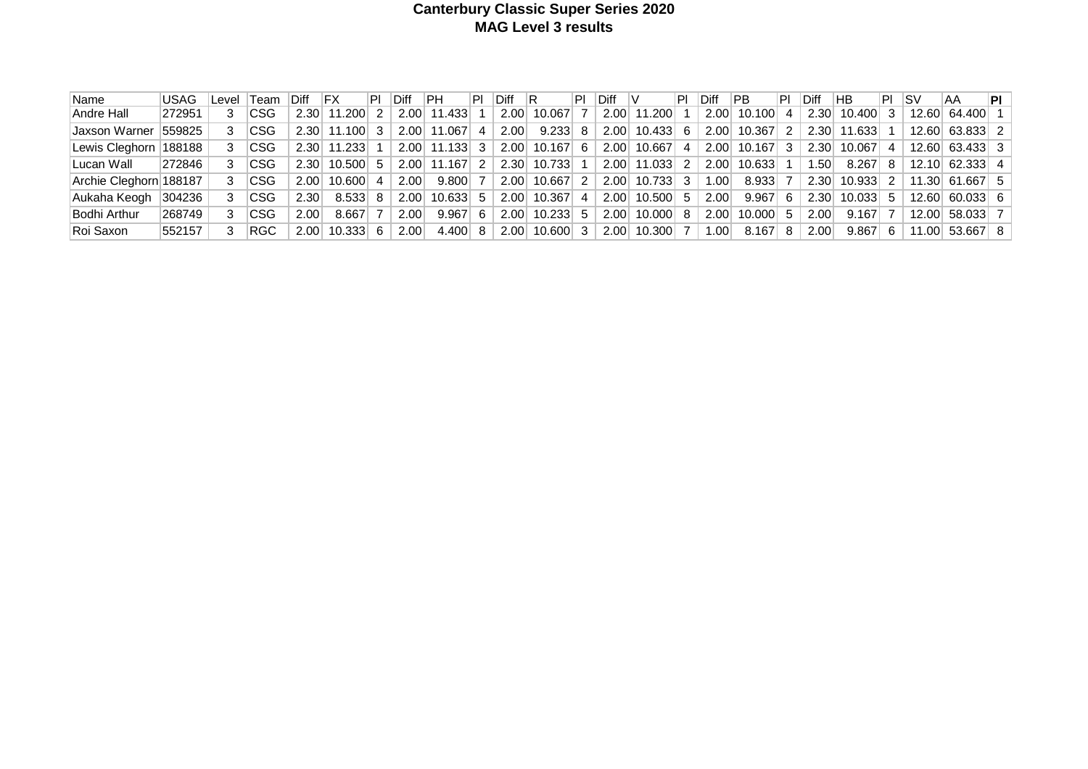#### **Canterbury Classic Super Series 2020 MAG Level 3 results**

| Name                   | <b>USAG</b> | ∟evel | ∣Team      | Diff              | IFX             | IPI. | <b>Diff</b> | IPH.           | ΙPΙ | Diff | -lR           | PI             | Diff |               | .PI            | <b>Diff</b> | PB.    | PI             | <b>Diff</b> | <b>HB</b> | PL I | ∣SV   | ΆA                  | PI |
|------------------------|-------------|-------|------------|-------------------|-----------------|------|-------------|----------------|-----|------|---------------|----------------|------|---------------|----------------|-------------|--------|----------------|-------------|-----------|------|-------|---------------------|----|
| Andre Hall             | 272951      |       | CSG        | 2.30              | $11.200$ 2      |      | 2.00        | 11.433         |     | 2.00 | 10.067        |                |      | $2.00$ 11.200 |                | 2.00        | 10.100 | $\overline{4}$ | 2.30        | 10.400    | 3    | 12.60 | 64.400              |    |
| Jaxson Warner          | 559825      |       | <b>CSG</b> | 2.30              | 11.100          |      | 2.00        | 11.067 4       |     | 2.00 | 9.233         | 8              | 2.00 | 10.433        | 6              | 2.00        | 10.367 | 2              | 2.30        | 11.633    |      | 12.60 | $63.833$ 2          |    |
| Lewis Cleghorn         | 188188      |       | <b>CSG</b> | 2.30              | 11.233          |      | 2.00        | 11.133         | -3  | 2.00 | 10.167        | 6              | 2.00 | 10.667        | 4              | 2.00        | 10.167 | 3              | 2.30        | 10.067    | 4    | 12.60 | $63.433$ 3          |    |
| Lucan Wall             | 272846      |       | CSG.       | 2.30              | $10.500$ 5      |      | 2.00        | 11.167         | 2   |      | 2.30 10.733   |                |      | 2.00 11.033   | 2              | 2.00        | 10.633 |                | .50         | 8.267     | -8   | 12.10 | 62.333 4            |    |
| Archie Cleghorn 188187 |             |       | CSG.       | 2.00              | $10.600$ 4      |      | 2.00        | 9.800          |     | 2.00 | 10.667        | 2 <sup>1</sup> |      | 2.00 10.733   | 3              | .00.        | 8.933  |                | 2.30        | 10.933    | 2    |       | $11.30 $ 61.667   5 |    |
| Aukaha Keogh           | 304236      |       | <b>CSG</b> | 2.30 <sub>1</sub> | $8.533 \mid 8$  |      | 2.00        | $10.633$ 5     |     |      | 2.00 10.367 4 |                |      | 2.00 10.500   | 5 <sup>5</sup> | 2.00        | 9.967  | -6             | 2.30        | 10.033    | .5   | 12.60 | $60.033 \mid 6$     |    |
| Bodhi Arthur           | 268749      |       | CSG        | 2.00              | 8.667           |      | 2.00        | $9.967 \mid 6$ |     | 2.00 | 10.233        | 5              |      | $2.00$ 10.000 | 8              | 2.00        | 10,000 | .5             | 2.00        | 9.167     | 7    | 12.00 | 58.033 7            |    |
| Roi Saxon              | 552157      |       | ∣RGC.      | 2.00              | $10.333 \mid 6$ |      | 2.00        | 4.400 8        |     | 2.00 | $10.600$ 3    |                |      | $2.00$ 10.300 |                | .00         | 8.167  | 8              | 2.00        | 9.867     | 6    | 11.00 | 53.667 8            |    |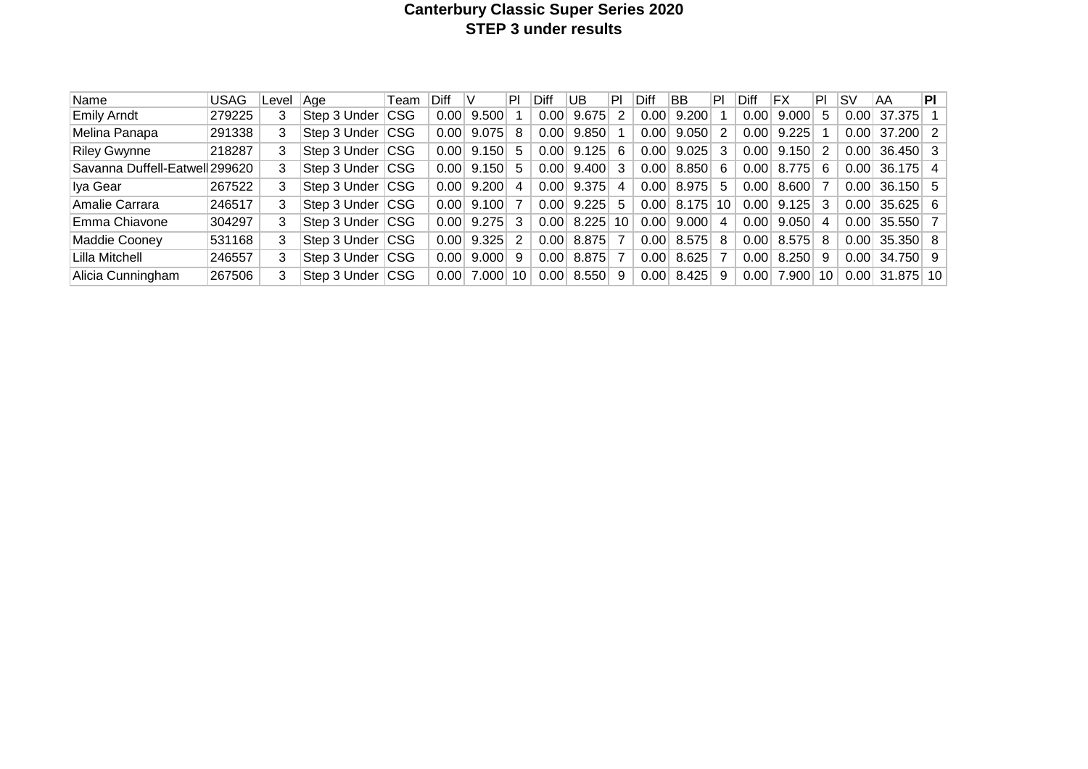# **Canterbury Classic Super Series 2020 STEP 3 under results**

| Name                           | <b>USAG</b> | Level | ∣Aae         | Team       | <b>Diff</b> | V     | PΙ | Diff | UB    | P  | Diff        | <b>BB</b>         | PI | Diff | ΙFΧ   | PI. | ۱s۷   | AA               | ΡI |
|--------------------------------|-------------|-------|--------------|------------|-------------|-------|----|------|-------|----|-------------|-------------------|----|------|-------|-----|-------|------------------|----|
| <b>Emily Arndt</b>             | 279225      | 3     | Step 3 Under | <b>CSG</b> | 0.00        | 9.500 |    | 0.00 | 9.675 |    | $0.00\vert$ | 9.200             |    | 0.00 | 9.000 | 5   | 0.00  | 37.375           |    |
| Melina Panapa                  | 291338      | 3     | Step 3 Under | <b>CSG</b> | 0.00        | 9.075 | 8  | 0.00 | 9.850 |    | 0.00        | 9.050             | -2 | 0.00 | 9.225 |     | 0.001 | $37.200$ 2       |    |
| <b>Riley Gwynne</b>            | 218287      | 3     | Step 3 Under | <b>CSG</b> | 0.00        | 9.150 | 5  | 0.00 | 9.125 | 6  | 0.00        | $9.025$ 3         |    | 0.00 | 9.150 | 2   | 0.00  | 36.450 3         |    |
| Savanna Duffell-Eatwell 299620 |             | 3     | Step 3 Under | <b>CSG</b> | 0.00        | 9.150 | 5  | 0.00 | 9.400 | 3  | 0.00        | 8.850 6           |    | 0.00 | 8.775 | 6   | 0.00  | $36.175$ 4       |    |
| Iya Gear                       | 267522      | 3     | Step 3 Under | <b>CSG</b> | 0.00        | 9.200 | 4  | 0.00 | 9.375 | 4  | 0.00        | 8.975             | -5 | 0.00 | 8.600 |     | 0.00  | $36.150$ 5       |    |
| Amalie Carrara                 | 246517      | 3     | Step 3 Under | <b>CSG</b> | 0.00        | 9.100 |    | 0.00 | 9.225 | 5. | 0.00        | 8.175             | 10 | 0.00 | 9.125 | 3   | 0.00  | $35.625 \mid 6$  |    |
| Emma Chiavone                  | 304297      | 3     | Step 3 Under | <b>CSG</b> | 0.00        | 9.275 | 3  | 0.00 | 8.225 | 10 | $0.00\vert$ | $9.000$ 4         |    | 0.00 | 9.050 | 4   | 0.00  | $35.550$ 7       |    |
| Maddie Cooney                  | 531168      | 3     | Step 3 Under | <b>CSG</b> | 0.00        | 9.325 | 2  | 0.00 | 8.875 |    | 0.00        | $8.575 \,   \, 8$ |    | 0.00 | 8.575 | 8   | 0.00  | $35.350 \mid 8$  |    |
| Lilla Mitchell                 | 246557      | 3     | Step 3 Under | <b>CSG</b> | 0.00        | 9.000 | 9  | 0.00 | 8.875 |    | 0.00        | $8.625$ 7         |    | 0.00 | 8.250 | 9   | 0.00  | 34.750 9         |    |
| Alicia Cunningham              | 267506      | 3     | Step 3 Under | <b>CSG</b> | 0.00        | 7.000 | 10 | 0.00 | 8.550 | 9  | 0.00        | 8.425             | -9 | 0.00 | 7.900 | 10  |       | $0.00$ 31.875 10 |    |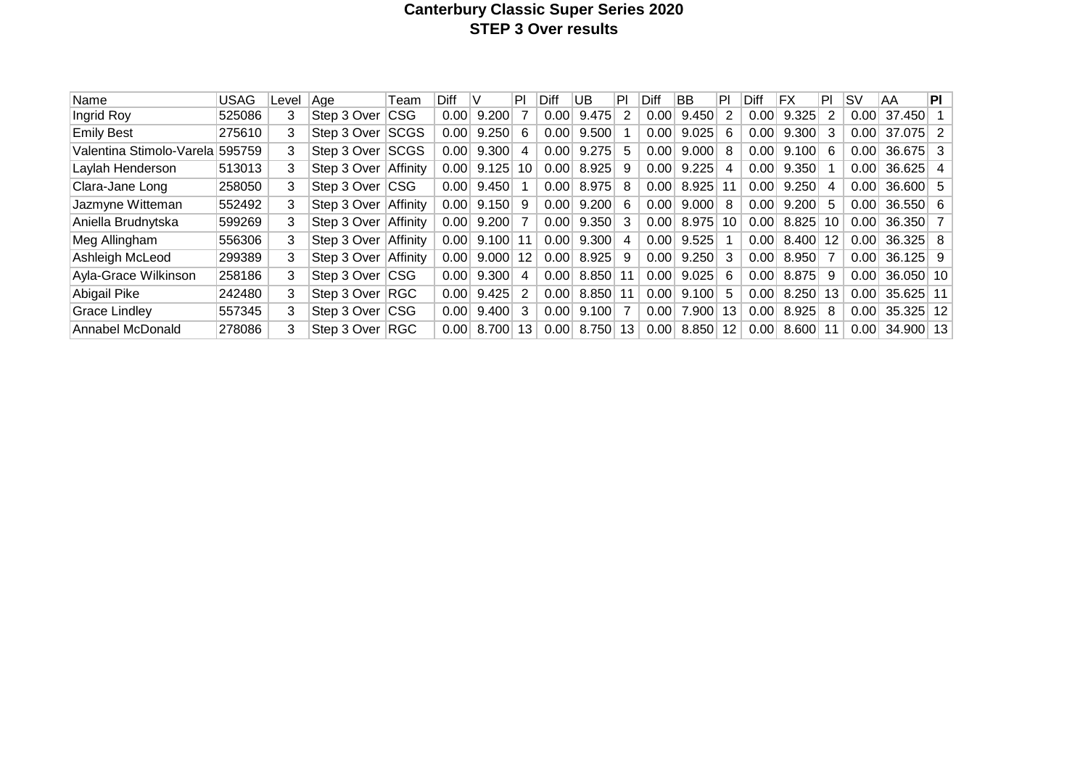# **Canterbury Classic Super Series 2020 STEP 3 Over results**

| Name                     | <b>USAG</b> | Level | Aae             | Team        | Diff |       | PI | Diff | UB    | PI | Diff | BB    | PI                | Diff | FX       | PI | ۱S۷  | AA              | PI |
|--------------------------|-------------|-------|-----------------|-------------|------|-------|----|------|-------|----|------|-------|-------------------|------|----------|----|------|-----------------|----|
| Ingrid Roy               | 525086      | 3     | Step 3 Over     | ∣CSG        | 0.00 | 9.200 |    | 0.00 | 9.475 | 2  | 0.00 | 9.450 |                   | 0.00 | 9.325    | 2  | 0.00 | 37.450          |    |
| <b>Emily Best</b>        | 275610      | 3     | Step 3 Over     | <b>SCGS</b> | 0.00 | 9.250 | 6  | 0.00 | 9.500 |    | 0.00 | 9.025 | 6                 | 0.00 | 9.300    | 3  | 0.00 | 37.075          |    |
| Valentina Stimolo-Varela | 595759      | 3     | Step 3 Over     | <b>SCGS</b> | 0.00 | 9.300 | 4  | 0.00 | 9.275 | 5  | 0.00 | 9.000 | 8                 | 0.00 | 9.100    | -6 | 0.00 | 36.675          | -3 |
| Laylah Henderson         | 513013      | 3     | Step 3 Over     | Affinity    | 0.00 | 9.125 | 10 | 0.00 | 8.925 | 9  | 0.00 | 9.225 | 4                 | 0.00 | 9.350    |    | 0.00 | 36.625          | -4 |
| Clara-Jane Long          | 258050      | 3     | Step 3 Over CSG |             | 0.00 | 9.450 |    | 0.00 | 8.975 | 8  | 0.00 | 8.925 |                   | 0.00 | 9.250    | 4  | 0.00 | $36.600 \mid 5$ |    |
| Jazmyne Witteman         | 552492      | 3     | Step 3 Over     | Affinity    | 0.00 | 9.150 | -9 | 0.00 | 9.200 | 6  | 0.00 | 9.000 | 8                 | 0.00 | 9.200    | -5 | 0.00 | $36.550 \mid 6$ |    |
| Aniella Brudnytska       | 599269      | 3     | Step 3 Over     | Affinity    | 0.00 | 9.200 | 7  | 0.00 | 9.350 | 3  | 0.00 | 8.975 | 10                | 0.00 | 8.825    | 10 | 0.00 | $36.350$ 7      |    |
| Meg Allingham            | 556306      | 3     | Step 3 Over     | Affinity    | 0.00 | 9.100 | 11 | 0.00 | 9.300 | 4  | 0.00 | 9.525 |                   | 0.00 | 8.400 12 |    | 0.00 | $36.325 \mid 8$ |    |
| Ashleigh McLeod          | 299389      | 3     | Step 3 Over     | Affinity    | 0.00 | 9.000 | 12 | 0.00 | 8.925 | 9  | 0.00 | 9.250 | 3                 | 0.00 | 8.950    | 7  | 0.00 | 36.125          | -9 |
| Ayla-Grace Wilkinson     | 258186      | 3     | Step 3 Over     | CSG         | 0.00 | 9.300 | 4  | 0.00 | 8.850 | 11 | 0.00 | 9.025 | 6                 | 0.00 | 8.875    | -9 | 0.00 | $36.050$   10   |    |
| Abigail Pike             | 242480      | 3     | Step 3 Over     | RGC         | 0.00 | 9.425 | 2  | 0.00 | 8.850 | 11 | 0.00 | 9.100 | 5                 | 0.00 | 8.250    | 13 | 0.00 | $35.625$ 11     |    |
| <b>Grace Lindley</b>     | 557345      | 3     | Step 3 Over     | CSG         | 0.00 | 9.400 | 3  | 0.00 | 9.100 |    | 0.00 | 7.900 | 13                | 0.00 | 8.925    | -8 | 0.00 | $35.325$ 12     |    |
| Annabel McDonald         | 278086      |       | Step 3 Over     | <b>RGC</b>  | 0.00 | 8.700 | 13 | 0.00 | 8.750 | 13 | 0.00 | 8.850 | $12 \overline{ }$ | 0.00 | 8.600    | 11 | 0.00 | 34.900 13       |    |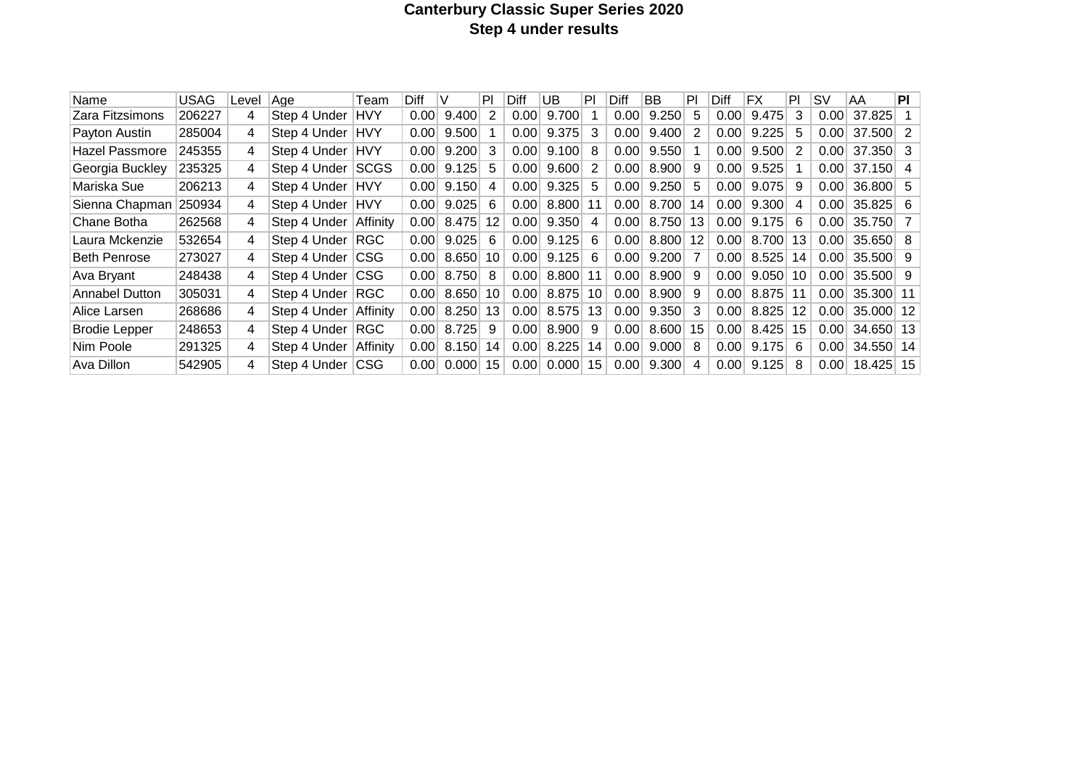# **Canterbury Classic Super Series 2020 Step 4 under results**

| Name                  | <b>USAG</b> | Level | Age              | Team        | Diff |       | PI | Diff | UB    | PI | Diff | ВB    | PI | Diff | ΙFΧ   | PI              | S٧   | AA         | PI             |
|-----------------------|-------------|-------|------------------|-------------|------|-------|----|------|-------|----|------|-------|----|------|-------|-----------------|------|------------|----------------|
| Zara Fitzsimons       | 206227      | 4     | Step 4 Under     | <b>HVY</b>  | 0.00 | 9.400 | 2  | 0.00 | 9.700 |    | 0.00 | 9.250 | 5. | 0.00 | 9.475 | 3               | 0.00 | 37.825     |                |
| Payton Austin         | 285004      | 4     | Step 4 Under     | <b>HVY</b>  | 0.00 | 9.500 |    | 0.00 | 9.375 | 3  | 0.00 | 9.400 | 2  | 0.00 | 9.225 | 5               | 0.00 | 37.500     | - 2            |
| <b>Hazel Passmore</b> | 245355      | 4     | Step 4 Under     | <b>HVY</b>  | 0.00 | 9.200 | 3  | 0.00 | 9.100 | 8  | 0.00 | 9.550 |    | 0.00 | 9.500 | 2               | 0.00 | 37.350     | - 3            |
| Georgia Buckley       | 235325      | 4     | Step 4 Under     | SCGS        | 0.00 | 9.125 | 5  | 0.00 | 9.600 | 2  | 0.00 | 8.900 | 9  | 0.00 | 9.525 |                 | 0.00 | 37.150     | -4             |
| Mariska Sue           | 206213      | 4     | Step 4 Under     | <b>IHVY</b> | 0.00 | 9.150 | 4  | 0.00 | 9.325 | 5  | 0.00 | 9.250 | 5  | 0.00 | 9.075 | 9.              | 0.00 | 36,800 5   |                |
| Sienna Chapman        | 250934      | 4     | Step 4 Under     | <b>HVY</b>  | 0.00 | 9.025 | 6  | 0.00 | 8.800 | 11 | 0.00 | 8.700 | 14 | 0.00 | 9.300 | 4               | 0.00 | 35.825     | - 6            |
| Chane Botha           | 262568      | 4     | Step 4 Under     | Affinity    | 0.00 | 8.475 | 12 | 0.00 | 9.350 | 4  | 0.00 | 8.750 | 13 | 0.00 | 9.175 | 6               | 0.00 | 35.750     | $\overline{7}$ |
| Laura Mckenzie        | 532654      | 4     | Step 4 Under RGC |             | 0.00 | 9.025 | 6. | 0.00 | 9.125 | 6  | 0.00 | 8.800 | 12 | 0.00 | 8.700 | 13              | 0.00 | $35.650$ 8 |                |
| <b>Beth Penrose</b>   | 273027      | 4     | Step 4 Under     | <b>CSG</b>  | 0.00 | 8.650 | 10 | 0.00 | 9.125 | 6  | 0.00 | 9.200 | 7  | 0.00 | 8.525 | 14              | 0.00 | $35.500$ 9 |                |
| Ava Bryant            | 248438      | 4     | Step 4 Under     | <b>CSG</b>  | 0.00 | 8.750 | 8  | 0.00 | 8.800 | 11 | 0.00 | 8.900 | 9  | 0.00 | 9.050 | 10              | 0.00 | $35.500$ 9 |                |
| <b>Annabel Dutton</b> | 305031      | 4     | Step 4 Under     | RGC         | 0.00 | 8.650 | 10 | 0.00 | 8.875 | 10 | 0.00 | 8.900 | 9  | 0.00 | 8.875 | 11              | 0.00 | 35.300 11  |                |
| Alice Larsen          | 268686      | 4     | Step 4 Under     | Affinity    | 0.00 | 8.250 | 13 | 0.00 | 8.575 | 13 | 0.00 | 9.350 | 3  | 0.00 | 8.825 | 12              | 0.00 | 35.000 12  |                |
| <b>Brodie Lepper</b>  | 248653      | 4     | Step 4 Under     | <b>RGC</b>  | 0.00 | 8.725 | 9  | 0.00 | 8.900 | 9  | 0.00 | 8.600 | 15 | 0.00 | 8.425 | 15 <sub>1</sub> | 0.00 | 34,650 13  |                |
| Nim Poole             | 291325      | 4     | Step 4 Under     | Affinity    | 0.00 | 8.150 | 14 | 0.00 | 8.225 | 14 | 0.00 | 9.000 | 8  | 0.00 | 9.175 | 6               | 0.00 | 34.550     | 14             |
| Ava Dillon            | 542905      | 4     | Step 4 Under     | CSG         | 0.00 | 0.000 | 15 | 0.00 | 0.000 | 15 | 0.00 | 9.300 | 4  | 0.00 | 9.125 | 8               | 0.00 | 18.425     | 15             |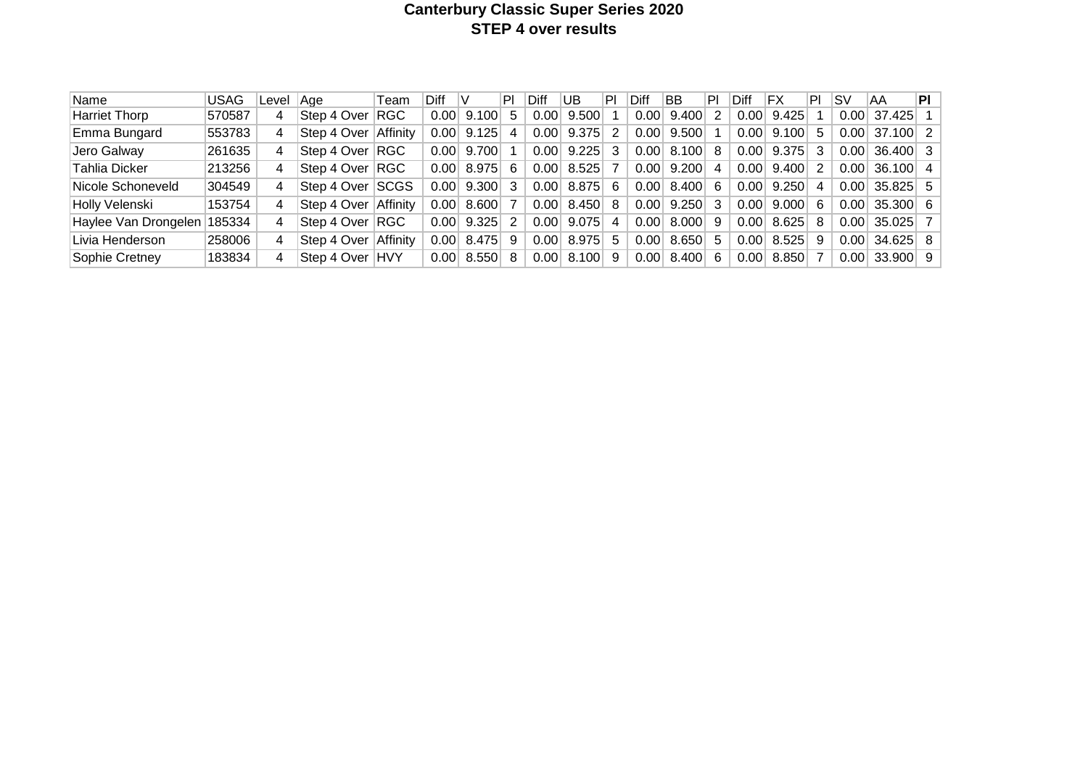# **Canterbury Classic Super Series 2020 STEP 4 over results**

| Name                        | <b>USAG</b> | Level          | Aae                  | Team     | Diff |              | PI | Diff | UB        | PI  | Diff | <b>BB</b>    | PI             | Diff | FX    | PI | ۱s۷  | AA                     | PL |
|-----------------------------|-------------|----------------|----------------------|----------|------|--------------|----|------|-----------|-----|------|--------------|----------------|------|-------|----|------|------------------------|----|
| <b>Harriet Thorp</b>        | 570587      | 4              | Step 4 Over RGC      |          | 0.00 | 9.100        | 5  | 0.00 | 9.500     |     | 0.00 | 9.400        | 2              | 0.00 | 9.425 |    | 0.00 | 37.425                 |    |
| Emma Bungard                | 553783      | 4              | Step 4 Over          | Affinity | 0.00 | 9.125        | 4  | 0.00 | 9.375     | 2   | 0.00 | 9.500        |                | 0.00 | 9.100 | 5  | 0.00 | $37.100$ 2             |    |
| Jero Galway                 | 261635      | 4              | Step 4 Over RGC      |          | 0.00 | 9.700        |    | 0.00 | $9.225$ 3 |     |      | $0.00$ 8.100 | -8             | 0.00 | 9.375 | 3  | 0.00 | $36.400$ 3             |    |
| Tahlia Dicker               | 213256      | 4              | Step 4 Over RGC      |          |      | $0.00$ 8.975 | 6  | 0.00 | $8.525$ 7 |     |      | $0.00$ 9.200 | $\overline{4}$ | 0.00 | 9.400 | 2  | 0.00 | 36.100 4               |    |
| Nicole Schoneveld           | 304549      | 4              | Step 4 Over SCGS     |          | 0.00 | 9.300        | 3  | 0.00 | 8.875     | - 6 | 0.00 | 8.400        | -6             | 0.00 | 9.250 | 4  | 0.00 | $35.825 \mid 5$        |    |
| Holly Velenski              | 153754      | 4              | Step 4 Over          | Affinity | 0.00 | 8.600        |    | 0.00 | 8.450     | -8  | 0.00 | 9.250        | -3             | 0.00 | 9.000 | 6  | 0.00 | $35.300 \, \vert \, 6$ |    |
| Haylee Van Drongelen 185334 |             | 4              | Step 4 Over RGC      |          | 0.00 | 9.325        | 2  | 0.00 | 9.075     | 4   | 0.00 | 8.000        | - 9            | 0.00 | 8.625 | 8  | 0.00 | $35.025$ 7             |    |
| Livia Henderson             | 258006      | $\overline{4}$ | Step 4 Over Affinity |          |      | $0.00$ 8.475 | 9  | 0.00 | $8.975$ 5 |     | 0.00 | 8.650        | -5             | 0.00 | 8.525 | 9  | 0.00 | $34.625 \mid 8$        |    |
| Sophie Cretney              | 183834      | 4              | Step 4 Over HVY      |          | 0.00 | 8.550        | 8  | 0.00 | 8.100     | -9  | 0.00 | 8.400        | -6             | 0.00 | 8.850 | 7  |      | $0.00$ 33.900 9        |    |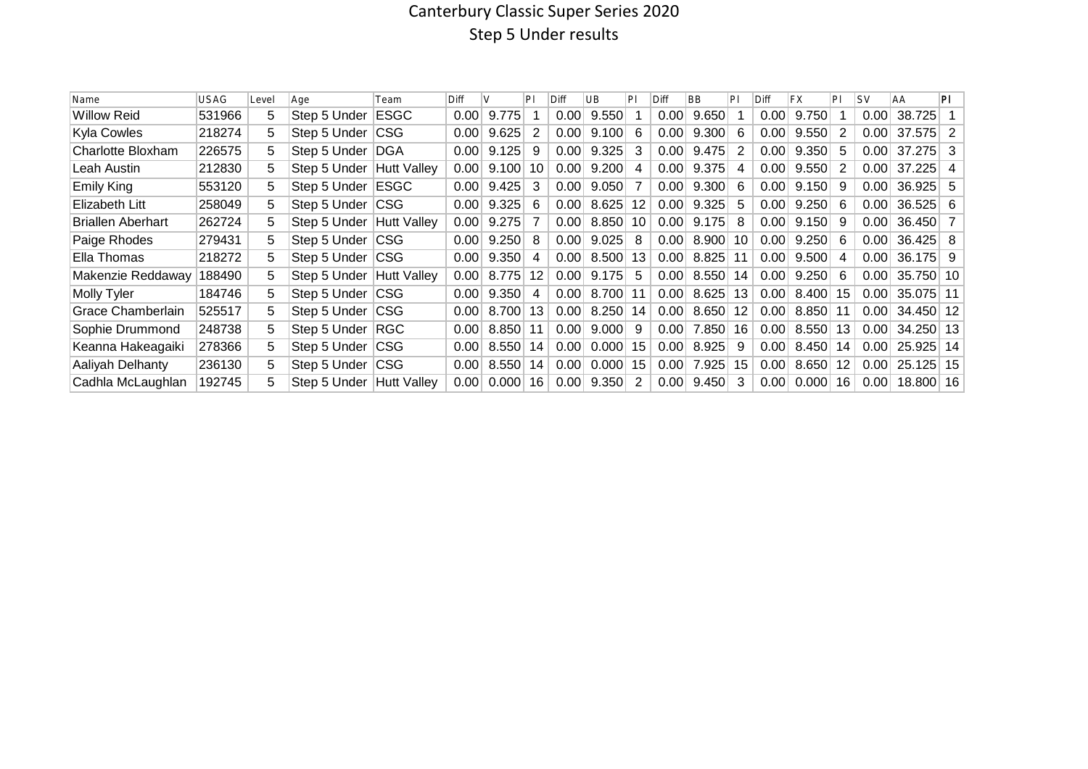# Canterbury Classic Super Series 2020 Step 5 Under results

| Name                     | USAG   | Level | Age              | Team               | Diff |       | PI | Diff | UB    | P  | Diff | <b>BB</b> | PI | Diff | <b>FX</b> | PI | <b>SV</b> | <b>AA</b>       | PI |
|--------------------------|--------|-------|------------------|--------------------|------|-------|----|------|-------|----|------|-----------|----|------|-----------|----|-----------|-----------------|----|
| <b>Willow Reid</b>       | 531966 | 5     | Step 5 Under     | <b>ESGC</b>        | 0.00 | 9.775 |    | 0.00 | 9.550 |    | 0.00 | 9.650     |    | 0.00 | 9.750     |    | 0.00      | 38.725          |    |
| Kyla Cowles              | 218274 | 5.    | Step 5 Under     | <b>CSG</b>         | 0.00 | 9.625 | 2  | 0.00 | 9.100 | 6  | 0.00 | 9.300     | 6  | 0.00 | 9.550     | -2 | 0.00      | $37.575$ 2      |    |
| Charlotte Bloxham        | 226575 | 5.    | Step 5 Under     | DGA                | 0.00 | 9.125 | 9  | 0.00 | 9.325 | 3  | 0.00 | 9.475     | 2  | 0.00 | 9.350     | -5 | 0.00      | 37.275          | -3 |
| Leah Austin              | 212830 | 5.    | Step 5 Under     | Hutt Valley        | 0.00 | 9.100 | 10 | 0.00 | 9.200 | 4  | 0.00 | 9.375     | 4  | 0.00 | 9.550     | -2 | 0.00      | 37.225          |    |
| <b>Emily King</b>        | 553120 | 5.    | Step 5 Under     | <b>ESGC</b>        | 0.00 | 9.425 | 3  | 0.00 | 9.050 | 7  | 0.00 | 9.300     | 6  | 0.00 | 9.150     | -9 | 0.00      | $36.925$ 5      |    |
| Elizabeth Litt           | 258049 | 5     | Step 5 Under     | <b>CSG</b>         | 0.00 | 9.325 | 6  | 0.00 | 8.625 | 12 | 0.00 | 9.325     | 5. | 0.00 | 9.250     | 6  | 0.00      | $36.525 \mid 6$ |    |
| <b>Briallen Aberhart</b> | 262724 | 5.    | Step 5 Under     | <b>Hutt Valley</b> | 0.00 | 9.275 |    | 0.00 | 8.850 | 10 | 0.00 | 9.175     | 8  | 0.00 | 9.150     | -9 | 0.00      | 36.450 7        |    |
| Paige Rhodes             | 279431 | 5.    | Step 5 Under CSG |                    | 0.00 | 9.250 | 8  | 0.00 | 9.025 | 8  | 0.00 | 8.900     | 10 | 0.00 | 9.250     | -6 | 0.00      | $36.425$ 8      |    |
| Ella Thomas              | 218272 | 5.    | Step 5 Under CSG |                    | 0.00 | 9.350 | 4  | 0.00 | 8.500 | 13 | 0.00 | 8.825     | 11 | 0.00 | 9.500     | 4  | 0.00      | $36.175$ 9      |    |
| Makenzie Reddaway        | 188490 | 5.    | Step 5 Under     | <b>Hutt Valley</b> | 0.00 | 8.775 | 12 | 0.00 | 9.175 | -5 | 0.00 | 8.550     | 14 | 0.00 | 9.250     | -6 | 0.00      | 35.750 10       |    |
| Molly Tyler              | 184746 | 5.    | Step 5 Under CSG |                    | 0.00 | 9.350 | 4  | 0.00 | 8.700 | 11 | 0.00 | 8.625     | 13 | 0.00 | 8.400     | 15 | 0.00      | 35.075 11       |    |
| Grace Chamberlain        | 525517 | 5.    | Step 5 Under     | <b>CSG</b>         | 0.00 | 8.700 | 13 | 0.00 | 8.250 | 14 | 0.00 | 8.650     | 12 | 0.00 | 8.850     | 11 | 0.00      | 34.450 12       |    |
| Sophie Drummond          | 248738 | 5.    | Step 5 Under     | <b>RGC</b>         | 0.00 | 8.850 | 11 | 0.00 | 9.000 | 9  | 0.00 | 7.850     | 16 | 0.00 | 8.550     | 13 | 0.00      | 34.250 13       |    |
| Keanna Hakeagaiki        | 278366 | 5.    | Step 5 Under     | <b>CSG</b>         | 0.00 | 8.550 | 14 | 0.00 | 0.000 | 15 | 0.00 | 8.925     | 9  | 0.00 | 8.450     | 14 | 0.00      | 25.925 14       |    |
| Aaliyah Delhanty         | 236130 | 5.    | Step 5 Under     | CSG                | 0.00 | 8.550 | 14 | 0.00 | 0.000 | 15 | 0.00 | 7.925     | 15 | 0.00 | 8.650     | 12 | 0.00      | 25.125          | 15 |
| Cadhla McLaughlan        | 192745 |       | Step 5 Under     | <b>Hutt Valley</b> | 0.00 | 0.000 | 16 | 0.00 | 9.350 | 2  | 0.00 | 9.450     | 3  | 0.00 | 0.000     | 16 | 0.00      | 18,800 16       |    |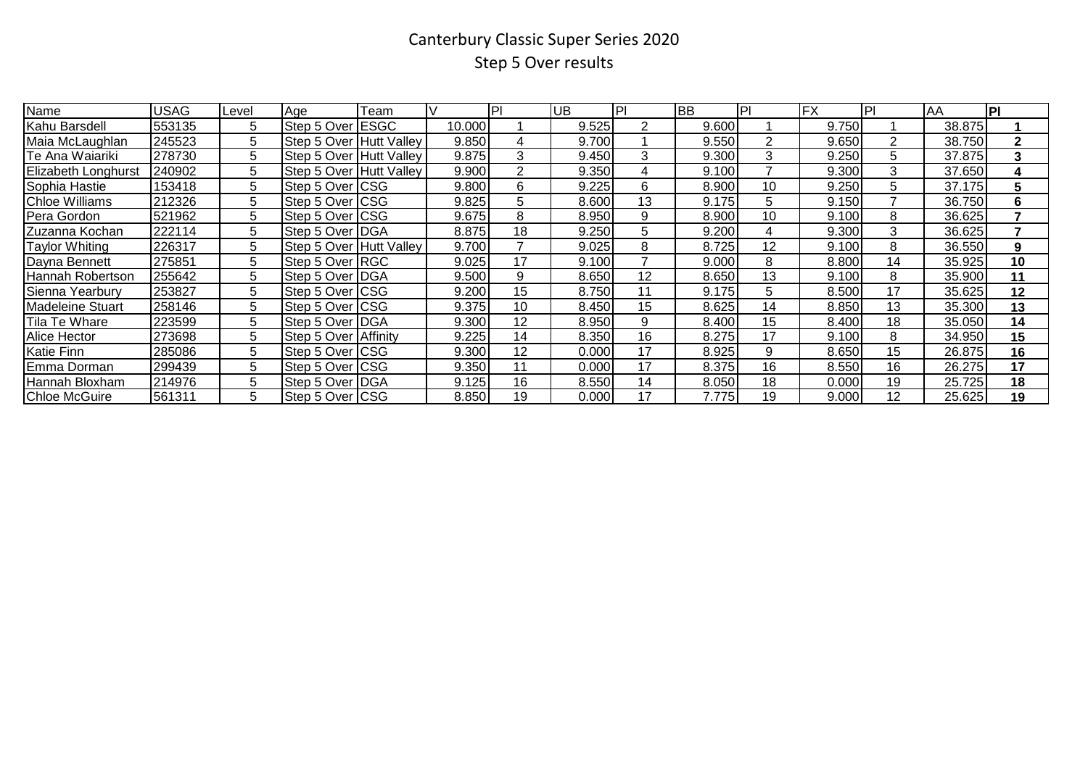# Canterbury Classic Super Series 2020 Step 5 Over results

| Name                    | USAG   | Level | Age                      | Team | IV     | IPI | <b>UB</b> | IPI | <b>BB</b> | IPI            | <b>FX</b> | IPI | ΙAΑ    | PI           |
|-------------------------|--------|-------|--------------------------|------|--------|-----|-----------|-----|-----------|----------------|-----------|-----|--------|--------------|
| Kahu Barsdell           | 553135 | 5     | Step 5 Over <b>IESGC</b> |      | 10.000 |     | 9.525     | 2   | 9.600     |                | 9.750     |     | 38.875 |              |
| Maia McLaughlan         | 245523 | 5     | Step 5 Over Hutt Valley  |      | 9.850  | 4   | 9.700     |     | 9.550     | $\overline{2}$ | 9.650     | 2   | 38.750 | $\mathbf{2}$ |
| Te Ana Waiariki         | 278730 | 5     | Step 5 Over Hutt Valley  |      | 9.875  | 3   | 9.450     | 3   | 9.300     | 3              | 9.250     | 5   | 37.875 | 3            |
| Elizabeth Longhurst     | 240902 | 5     | Step 5 Over Hutt Valley  |      | 9.900  | 2   | 9.350     | 4   | 9.100     | 7              | 9.300     | 3   | 37.650 | 4            |
| Sophia Hastie           | 153418 | 5     | Step 5 Over CSG          |      | 9.800  | 6   | 9.225     | 6   | 8.900     | 10             | 9.250     | 5   | 37.175 | 5            |
| <b>Chloe Williams</b>   | 212326 | 5     | Step 5 Over CSG          |      | 9.825  | 5   | 8.600     | 13  | 9.175     | 5              | 9.150     |     | 36.750 | 6            |
| Pera Gordon             | 521962 | 5     | Step 5 Over CSG          |      | 9.675  | 8   | 8.950     | 9   | 8.900     | 10             | 9.100     | 8   | 36.625 |              |
| Zuzanna Kochan          | 222114 | 5     | Step 5 Over   DGA        |      | 8.875  | 18  | 9.250     | 5   | 9.200     | 4              | 9.300     | 3   | 36.625 |              |
| Taylor Whiting          | 226317 | 5     | Step 5 Over Hutt Valley  |      | 9.700  |     | 9.025     | 8   | 8.725     | 12             | 9.100     | 8   | 36.550 | 9            |
| Dayna Bennett           | 275851 | 5     | Step 5 Over RGC          |      | 9.025  | 17  | 9.100     |     | 9.000     | 8              | 8.800     | 14  | 35.925 | 10           |
| Hannah Robertson        | 255642 | 5     | Step 5 Over DGA          |      | 9.500  | 9   | 8.650     | 12  | 8.650     | 13             | 9.100     | 8   | 35.900 | 11           |
| Sienna Yearbury         | 253827 | 5     | Step 5 Over CSG          |      | 9.200  | 15  | 8.750     | 11  | 9.175     | 5              | 8.500     | 17  | 35.625 | 12           |
| <b>Madeleine Stuart</b> | 258146 | 5     | Step 5 Over CSG          |      | 9.375  | 10  | 8.450     | 15  | 8.625     | 14             | 8.850     | 13  | 35.300 | 13           |
| Tila Te Whare           | 223599 | 5     | Step 5 Over DGA          |      | 9.300  | 12  | 8.950     | 9   | 8.400     | 15             | 8.400     | 18  | 35.050 | 14           |
| Alice Hector            | 273698 | 5     | Step 5 Over Affinity     |      | 9.225  | 14  | 8.350     | 16  | 8.275     | 17             | 9.100     | 8   | 34.950 | 15           |
| <b>Katie Finn</b>       | 285086 | 5     | Step 5 Over CSG          |      | 9.300  | 12  | 0.000     | 17  | 8.925     | 9              | 8.650     | 15  | 26.875 | 16           |
| Emma Dorman             | 299439 | 5     | Step 5 Over CSG          |      | 9.350  | 11  | 0.000     | 17  | 8.375     | 16             | 8.550     | 16  | 26.275 | 17           |
| Hannah Bloxham          | 214976 | 5     | Step 5 Over   DGA        |      | 9.125  | 16  | 8.550     | 14  | 8.050     | 18             | 0.000     | 19  | 25.725 | 18           |
| <b>Chloe McGuire</b>    | 561311 | 5     | Step 5 Over CSG          |      | 8.850  | 19  | 0.000     | 17  | 7.7751    | 19             | 9.000     | 12  | 25.625 | 19           |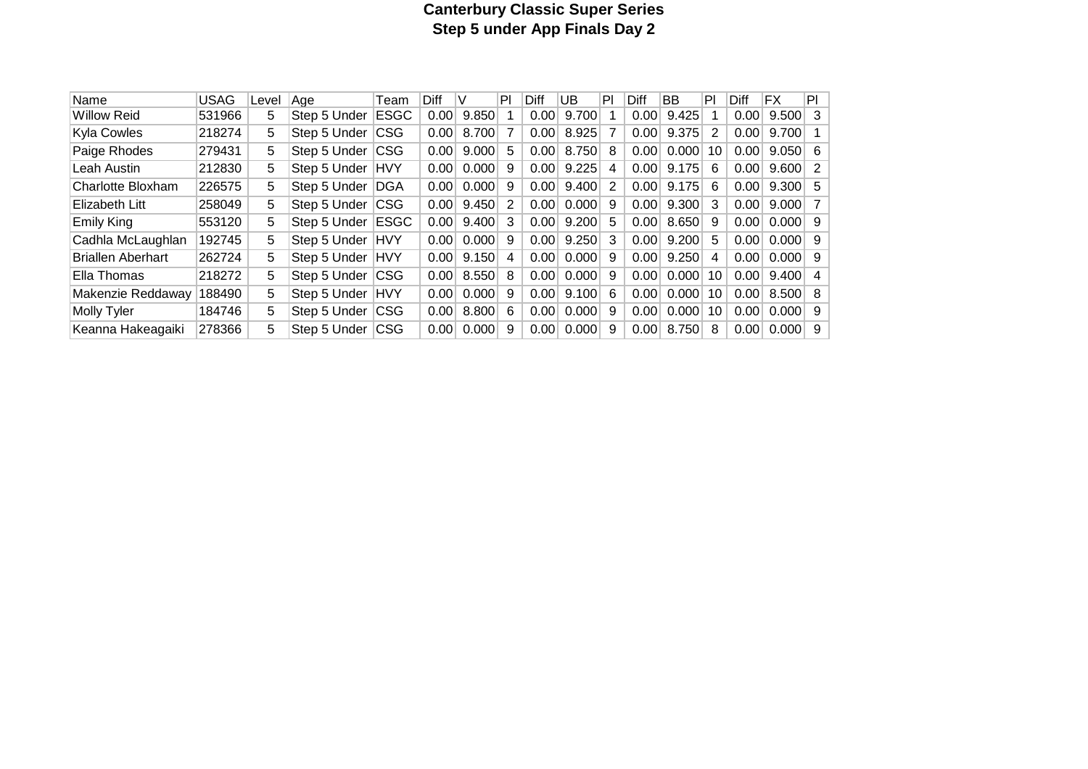# **Canterbury Classic Super Series Step 5 under App Finals Day 2**

|                          |             |       |                  |             |      | V     | PI | Diff |        | PI | Diff |       | PI | <b>Diff</b> | <b>FX</b>             | PI |
|--------------------------|-------------|-------|------------------|-------------|------|-------|----|------|--------|----|------|-------|----|-------------|-----------------------|----|
| <b>Name</b>              | <b>USAG</b> | Level | Age              | Team        | Diff |       |    |      | UB     |    |      | BB    |    |             |                       |    |
| <b>Willow Reid</b>       | 531966      | 5     | Step 5 Under     | <b>ESGC</b> | 0.00 | 9.850 |    | 0.00 | 9.700  |    | 0.00 | 9.425 |    | 0.00        | $9.500$ 3             |    |
| Kyla Cowles              | 218274      | 5.    | Step 5 Under     | <b>CSG</b>  | 0.00 | 8.700 |    | 0.00 | 8.925  |    | 0.00 | 9.375 | 2  | 0.00        | $9.700$ 1             |    |
| Paige Rhodes             | 279431      | 5.    | Step 5 Under     | <b>CSG</b>  | 0.00 | 9.000 | -5 | 0.00 | 8.750  | 8  | 0.00 | 0.000 | 10 | 0.00        | $9.050 \, \vert \, 6$ |    |
| Leah Austin              | 212830      | 5     | Step 5 Under     | <b>HVY</b>  | 0.00 | 0.000 | 9  | 0.00 | 9.225  | 4  | 0.00 | 9.175 | 6  | 0.00        | $9.600$ 2             |    |
| Charlotte Bloxham        | 226575      | 5.    | Step 5 Under     | DGA         | 0.00 | 0.000 | 9  | 0.00 | 9.400  | 2  | 0.00 | 9.175 | 6  | 0.00        | 9.300  5              |    |
| Elizabeth Litt           | 258049      | 5     | Step 5 Under     | CSG         | 0.00 | 9.450 | 2  | 0.00 | 0.0001 | 9  | 0.00 | 9.300 | 3  | 0.00        | $9.000$ 7             |    |
| <b>Emily King</b>        | 553120      | 5     | Step 5 Under     | <b>ESGC</b> | 0.00 | 9.400 | 3  | 0.00 | 9.200  | 5  | 0.00 | 8.650 | -9 | 0.00        | $0.000$ 9             |    |
| Cadhla McLaughlan        | 192745      | 5.    | Step 5 Under     | <b>HVY</b>  | 0.00 | 0.000 | 9  | 0.00 | 9.250  | 3  | 0.00 | 9.200 | 5  | 0.00        | $0.000$ 9             |    |
| <b>Briallen Aberhart</b> | 262724      | 5.    | Step 5 Under HVY |             | 0.00 | 9.150 | 4  | 0.00 | 0.0001 | 9  | 0.00 | 9.250 | 4  | 0.00        | $0.000$ 9             |    |
| Ella Thomas              | 218272      | 5     | Step 5 Under CSG |             | 0.00 | 8.550 | 8  | 0.00 | 0.0001 | 9  | 0.00 | 0.000 | 10 | 0.00        | $9.400$ 4             |    |
| Makenzie Reddaway        | 188490      | 5.    | Step 5 Under     | <b>HVY</b>  | 0.00 | 0.000 | 9  | 0.00 | 9.100  | 6  | 0.00 | 0.000 | 10 | 0.00        | $8.500$ 8             |    |
| <b>Molly Tyler</b>       | 184746      | 5.    | Step 5 Under     | <b>CSG</b>  | 0.00 | 8.800 | 6  | 0.00 | 0.000  | 9  | 0.00 | 0.000 | 10 | 0.00        | $0.000$ 9             |    |
| Keanna Hakeagaiki        | 278366      | 5     | Step 5 Under     | <b>CSG</b>  | 0.00 | 0.000 | 9  | 0.00 | 0.000  | 9  | 0.00 | 8.750 | 8  | 0.00        | $0.000$ 9             |    |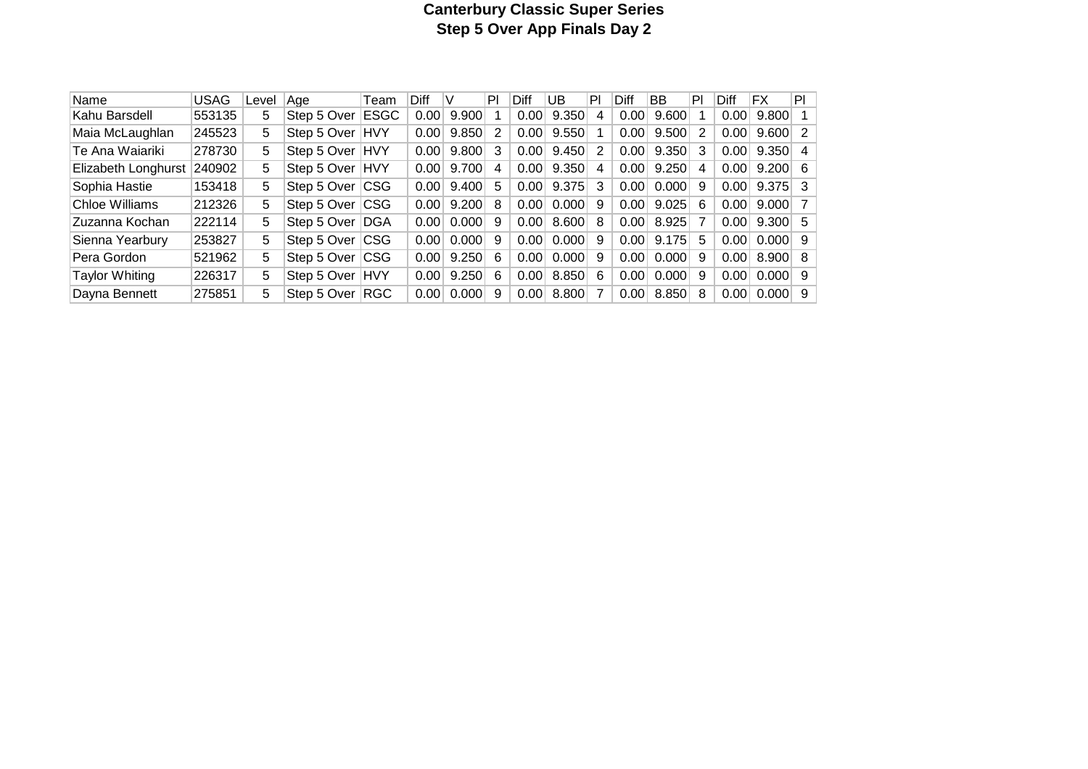# **Canterbury Classic Super Series Step 5 Over App Finals Day 2**

| Name                  | USAG   | Level | Aae         | Team        | Diff | v     | PI | Diff | UB    | PI | Diff | BB     | PI | Diff | FX                    | PI |
|-----------------------|--------|-------|-------------|-------------|------|-------|----|------|-------|----|------|--------|----|------|-----------------------|----|
| Kahu Barsdell         | 553135 | 5     | Step 5 Over | <b>ESGC</b> | 0.00 | 9.900 |    | 0.00 | 9.350 | 4  | 0.00 | 9.600  |    | 0.00 | $9.800$ 1             |    |
| Maia McLaughlan       | 245523 | 5     | Step 5 Over | HVY         | 0.00 | 9.850 | 2  | 0.00 | 9.550 |    | 0.00 | 9.500  | 2  | 0.00 | $9.600$ 2             |    |
| Te Ana Waiariki       | 278730 | 5     | Step 5 Over | <b>HVY</b>  | 0.00 | 9.800 | 3  | 0.00 | 9.450 | 2  | 0.00 | 9.350  | 3  | 0.00 | $9.350 $ 4            |    |
| Elizabeth Longhurst   | 240902 | 5     | Step 5 Over | <b>HVY</b>  | 0.00 | 9.700 | 4  | 0.00 | 9.350 | 4  | 0.00 | 9.250  | 4  | 0.00 | $9.200 \, \vert \, 6$ |    |
| Sophia Hastie         | 153418 | 5     | Step 5 Over | ∣CSG        | 0.00 | 9.400 | 5  | 0.00 | 9.375 | 3  | 0.00 | 0.000  | 9  | 0.00 | $9.375$ 3             |    |
| Chloe Williams        | 212326 | 5     | Step 5 Over | <b>CSG</b>  | 0.00 | 9.200 | 8  | 0.00 | 0.000 | 9  | 0.00 | 9.025  | 6  | 0.00 | $9.000$ 7             |    |
| Zuzanna Kochan        | 222114 | 5     | Step 5 Over | <b>DGA</b>  | 0.00 | 0.000 | 9  | 0.00 | 8.600 | 8  | 0.00 | 8.925  |    | 0.00 | $9.300 \mid 5$        |    |
| Sienna Yearbury       | 253827 | 5     | Step 5 Over | <b>CSG</b>  | 0.00 | 0.000 | 9  | 0.00 | 0.000 | 9  | 0.00 | 9.175  | 5  | 0.00 | $0.000$ 9             |    |
| Pera Gordon           | 521962 | 5     | Step 5 Over | <b>CSG</b>  | 0.00 | 9.250 | 6  | 0.00 | 0.000 | 9  | 0.00 | 0.0001 | 9  | 0.00 | $8.900 \vert 8$       |    |
| <b>Taylor Whiting</b> | 226317 | 5     | Step 5 Over | <b>HVY</b>  | 0.00 | 9.250 | 6  | 0.00 | 8.850 | 6  | 0.00 | 0.000  | 9  | 0.00 | $0.000$ 9             |    |
| Dayna Bennett         | 275851 | 5     | Step 5 Over | ∣RGC        | 0.00 | 0.000 | 9  | 0.00 | 8.800 | 7  | 0.00 | 8.850  | 8  | 0.00 | $0.000$ 9             |    |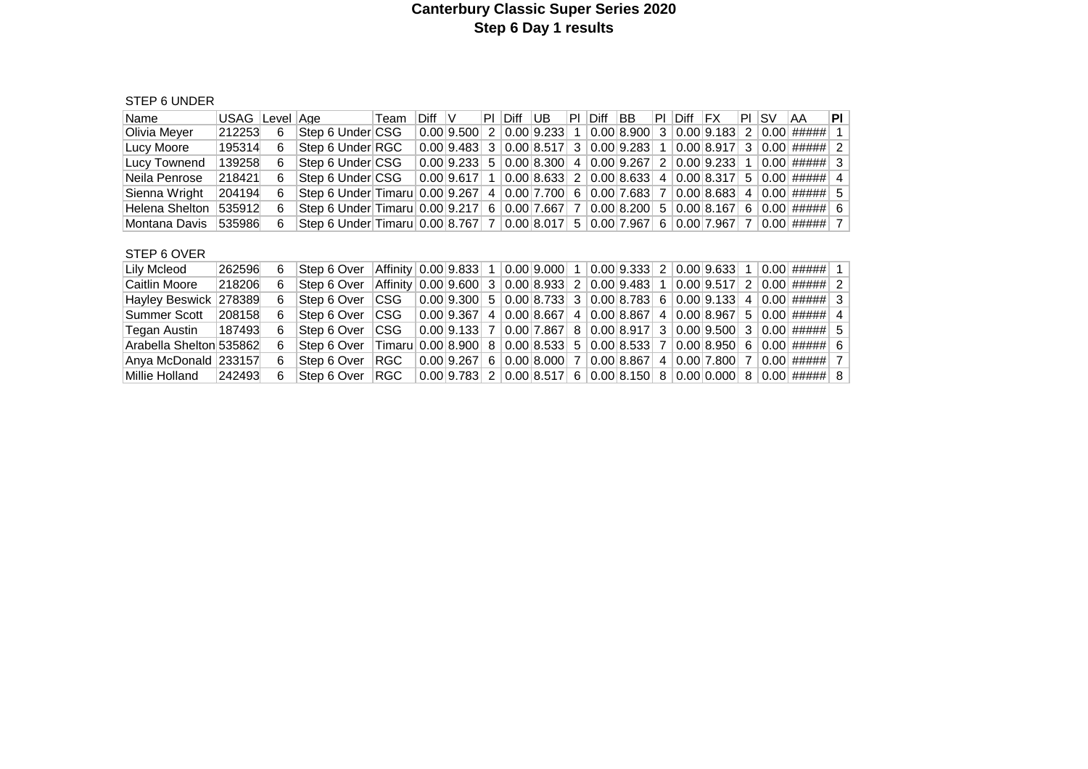#### **Canterbury Classic Super Series 2020 Step 6 Day 1 results**

#### STEP 6 UNDER

| Name           | USAG  Level  Age |     |                                                                         | ∣Team | Diff V |                                     | <b>PI Diff UB</b> | ΙPΙ | Diff | IBB. | PL. | Diff IFX |                                                                           |   | PI ISV | IAA                  | PI I           |
|----------------|------------------|-----|-------------------------------------------------------------------------|-------|--------|-------------------------------------|-------------------|-----|------|------|-----|----------|---------------------------------------------------------------------------|---|--------|----------------------|----------------|
| Olivia Meyer   | 212253           | -6  | Step 6 Under CSG                                                        |       |        | $0.00$  9.500  2   0.00  9.233  1   |                   |     |      |      |     |          | 0.00 8.900 3 0.00 9.183                                                   | 2 |        | $ 0.00 $ #####       | 1 <sup>1</sup> |
| Lucy Moore     | 195314           | - 6 | Step 6 Under RGC                                                        |       |        | 0.00 9.483 3 0.00 8.517 3           |                   |     |      |      |     |          | $ 0.00 9.283 $ 1 $ 0.00 8.917 $                                           | 3 |        | 0.00   #####   2     |                |
| Lucy Townend   | 139258           | -6  | Step 6 Under CSG                                                        |       |        | $0.00$ 9.233   5   0.00   8.300   4 |                   |     |      |      |     |          | 0.00 9.267 2 0.00 9.233 1                                                 |   |        | 0.00   #####   3     |                |
| Neila Penrose  | 218421           | 6   | ∣Step 6 Under∣CSG                                                       |       |        |                                     |                   |     |      |      |     |          | 0.00   9.617   1   0.00   8.633   2   0.00   8.633   4   0.00   8.317   5 |   |        | $ 0.00 $ ##### $ 4 $ |                |
| Sienna Wright  | 204194           | 6   | Step 6 Under Timaru 0.00 9.267 4 0.00 7.700 6 0.00 7.683 7 0.00 8.683 4 |       |        |                                     |                   |     |      |      |     |          |                                                                           |   |        | 0.00   #####    5    |                |
| Helena Shelton | 535912           | 6   | Step 6 Under Timaru 0.00 9.217 6 0.00 7.667 7 0.00 8.200 5 0.00 8.167 6 |       |        |                                     |                   |     |      |      |     |          |                                                                           |   |        | $ 0.00 $ ##### $ 6 $ |                |
| ⊺Montana Davis | 535986           | 6   | Step 6 Under Timaru 0.00 8.767 7 0.00 8.017 5 0.00 7.967 6              |       |        |                                     |                   |     |      |      |     |          | 0.00  7.967  7                                                            |   |        | 0.00   #####    7    |                |

#### STEP 6 OVER

| Lily Mcleod             | 262596 | 6 | lStep 6 Over      | $\left  \text{Affinity} \right  0.00 \left  9.833 \right  1 \left  0.00 \left  9.000 \right  1 \left  0.00 \left  9.333 \right  2 \left  0.00 \left  9.633 \right  1 \left  0.00 \right  \right  \right)$ |                                                                                                                                             |  |  |  |  |  |                                                                                                                                                                                                                                                                                                                                                        |  |
|-------------------------|--------|---|-------------------|-----------------------------------------------------------------------------------------------------------------------------------------------------------------------------------------------------------|---------------------------------------------------------------------------------------------------------------------------------------------|--|--|--|--|--|--------------------------------------------------------------------------------------------------------------------------------------------------------------------------------------------------------------------------------------------------------------------------------------------------------------------------------------------------------|--|
| Caitlin Moore           | 218206 | 6 | Step 6 Over       | $\left  \text{Affinity} \right  0.00 \left  9.600 \right  3 \left  0.00 \left  8.933 \right  2 \left  0.00 \left  9.483 \right  1 \left  0.00 \left  9.517 \right  2 \left  0.00 \right  \right  \right)$ |                                                                                                                                             |  |  |  |  |  |                                                                                                                                                                                                                                                                                                                                                        |  |
| Hayley Beswick 278389   |        | 6 | Step 6 Over       | ICSG                                                                                                                                                                                                      |                                                                                                                                             |  |  |  |  |  | $\vert 0.00 \vert 9.300 \vert 5 \vert 0.00 \vert 8.733 \vert 3 \vert 0.00 \vert 8.783 \vert 6 \vert 0.00 \vert 9.133 \vert 4 \vert 0.00 \vert 10.00 \vert 11.00 \vert 11.00 \vert 31.00 \vert 41.00 \vert 31.00 \vert 41.00 \vert 31.00 \vert 41.00 \vert 31.00 \vert 41.00 \vert 31.00 \vert 41.00 \vert 31.00 \vert 41.00 \vert 31.00 \vert 41.00 \$ |  |
| Summer Scott            | 208158 | 6 | lStep 6 Over ∃CSG |                                                                                                                                                                                                           |                                                                                                                                             |  |  |  |  |  | $\vert 0.00 \vert 9.367 \vert 4 \vert 0.00 \vert 8.667 \vert 4 \vert 0.00 \vert 8.867 \vert 4 \vert 0.00 \vert 8.967 \vert 5 \vert 0.00 \vert 1$                                                                                                                                                                                                       |  |
| Tegan Austin            | 187493 | 6 | Step 6 Over       | ICSG                                                                                                                                                                                                      |                                                                                                                                             |  |  |  |  |  | $0.00$ 9.133 7 0.00 7.867 8 0.00 8.917 3 0.00 9.500 3 0.00 ##### 5                                                                                                                                                                                                                                                                                     |  |
| Arabella Shelton 535862 |        | 6 | lStep 6 Over ∃    | Timaru 0.00 8.900 8 0.00 8.533 5 0.00 8.533 7 0.00 8.950 6 0.00 ##### 6                                                                                                                                   |                                                                                                                                             |  |  |  |  |  |                                                                                                                                                                                                                                                                                                                                                        |  |
| Anya McDonald 233157    |        | 6 | Step 6 Over       | ∣RGC –                                                                                                                                                                                                    | $\vert 0.00 \vert 9.267 \vert$ 6 $\vert 0.00 \vert 8.000 \vert$ 7 $\vert 0.00 \vert 8.867 \vert$ 4 $\vert 0.00 \vert 7.800 \vert$ 7 $\vert$ |  |  |  |  |  | 0.00   #####     7                                                                                                                                                                                                                                                                                                                                     |  |
| Millie Holland          | 242493 | 6 | Step 6 Over       | ∣RGC ∣                                                                                                                                                                                                    |                                                                                                                                             |  |  |  |  |  | $\vert 0.00 \vert 9.783 \vert 2 \vert 0.00 \vert 8.517 \vert 6 \vert 0.00 \vert 8.150 \vert 8 \vert 0.00 \vert 0.000 \vert 8 \vert 0.00 \vert 1$ ##### 8                                                                                                                                                                                               |  |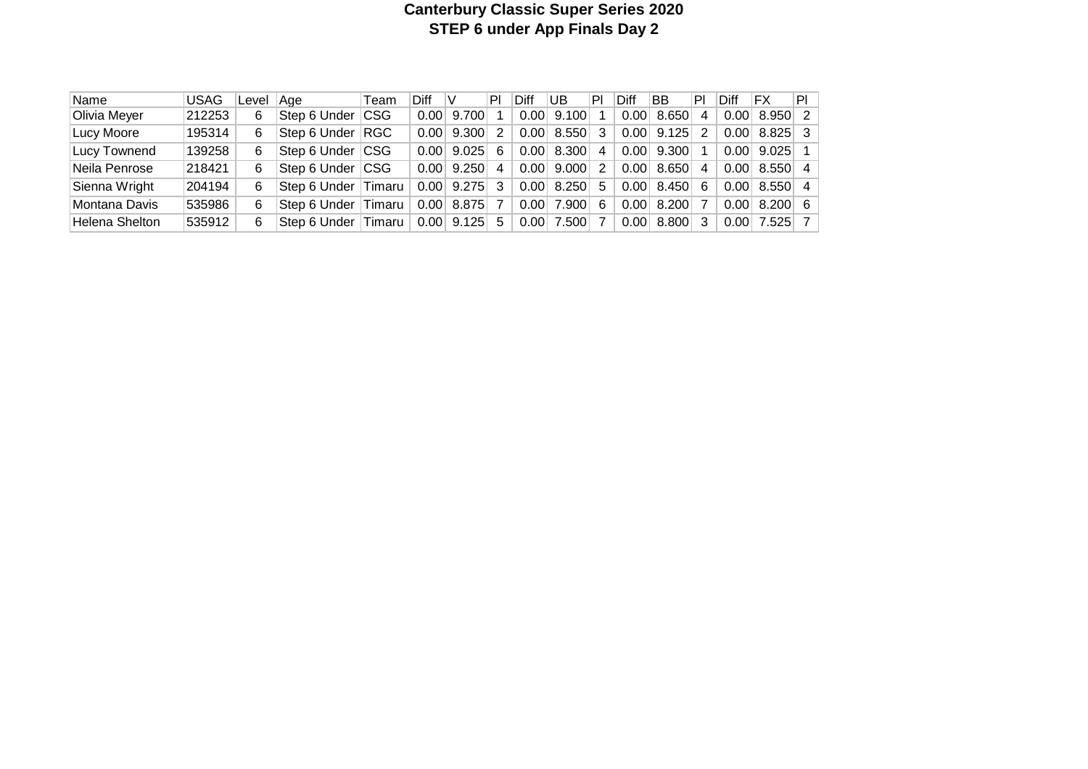# **Canterbury Classic Super Series 2020 STEP 6 under App Finals Day 2**

| Name                  | <b>USAG</b> | Level | Aae                 | Team | <b>Diff</b> |       | PI | Diff | UB    | PI | Diff | <b>BB</b> | PI             | Diff | FX    | PI I           |
|-----------------------|-------------|-------|---------------------|------|-------------|-------|----|------|-------|----|------|-----------|----------------|------|-------|----------------|
| Olivia Meyer          | 212253      | 6     | Step 6 Under CSG    |      | 0.00        | 9.700 |    | 0.00 | 9.100 |    | 0.00 | 8.650     | 4              | 0.00 | 8.950 | $\mathcal{P}$  |
| Lucy Moore            | 195314      | 6.    | Step 6 Under RGC    |      | 0.00        | 9.300 | 2  | 0.00 | 8.550 | 3  | 0.00 | 9.125     | 2              | 0.00 | 8.825 | -3.            |
| Lucy Townend          | 139258      | 6     | Step 6 Under CSG    |      | 0.00        | 9.025 | 6  | 0.00 | 8.300 | 4  | 0.00 | 9.300     |                | 0.00 | 9.025 |                |
| Neila Penrose         | 218421      | 6     | Step 6 Under CSG    |      | 0.00        | 9.250 | 4  | 0.00 | 9.000 | 2  | 0.00 | 8.650     | $\overline{4}$ | 0.00 | 8.550 | $\overline{4}$ |
| Sienna Wright         | 204194      | 6     | Step 6 Under Timaru |      | 0.00        | 9.275 | -3 | 0.00 | 8.250 | 5. | 0.00 | 8.450     | 6              | 0.00 | 8.550 | 4              |
| Montana Davis         | 535986      | 6     | Step 6 Under Timaru |      | 0.00        | 8.875 |    | 0.00 | 7.900 | 6  | 0.00 | 8.200     |                | 0.00 | 8.200 | - 6            |
| <b>Helena Shelton</b> | 535912      | 6     | Step 6 Under Timaru |      | 0.00        | 9.125 | 5  | 0.00 | 7.500 |    | 0.00 | 8.800     | 3              | 0.00 | 7.525 |                |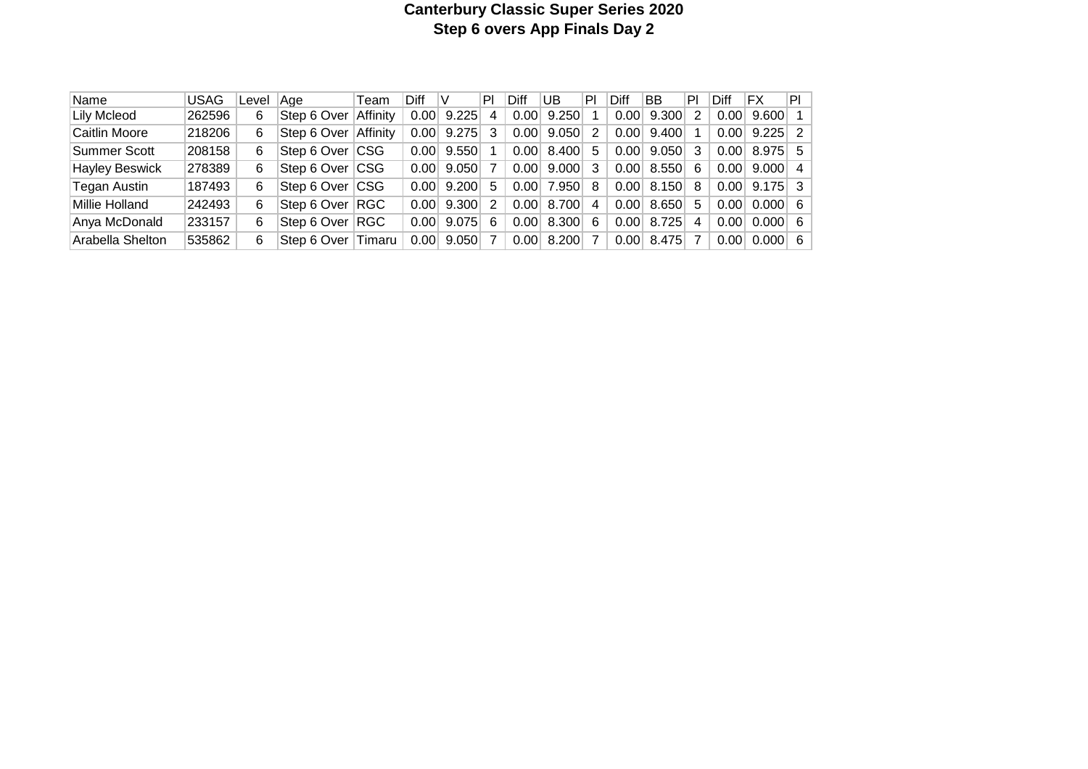# **Canterbury Classic Super Series 2020 Step 6 overs App Finals Day 2**

| Name                  | <b>USAG</b> | Level | Aae -              | Team       | <b>Diff</b> |                | PI | Diff | UB    | P              | Diff | <b>BB</b> | PI | Diff | FX                    | PI |
|-----------------------|-------------|-------|--------------------|------------|-------------|----------------|----|------|-------|----------------|------|-----------|----|------|-----------------------|----|
| <b>Lily Mcleod</b>    | 262596      | 6     | Step 6 Over        | Affinity   | 0.00        | 9.225          | 4  | 0.00 | 9.250 |                | 0.00 | 9.300     | 2  | 0.00 | $9.600$ 1             |    |
| Caitlin Moore         | 218206      | 6     | Step 6 Over        | Affinity   | 0.00        | 9.275          |    | 0.00 | 9.050 | 2              | 0.00 | 9.400     |    | 0.00 | $9.225$ 2             |    |
| Summer Scott          | 208158      | 6     | Step 6 Over CSG    |            | 0.00        | 9.550          |    | 0.00 | 8.400 | 5              | 0.00 | 9.050     | 3  | 0.00 | $8.975$ 5             |    |
| <b>Hayley Beswick</b> | 278389      | 6     | Step 6 Over CSG    |            | 0.00        | 9.050          |    | 0.00 | 9.000 | 3              | 0.00 | 8.550     | -6 | 0.00 | $9.000 \mid 4$        |    |
| Tegan Austin          | 187493      | 6     | Step 6 Over CSG    |            | 0.00        | 9.200          | 5  | 0.00 | 7.950 | 8              | 0.00 | 8.150     | 8  | 0.00 | $9.175$ 3             |    |
| Millie Holland        | 242493      | 6     | Step 6 Over RGC    |            | 0.00        | 9.300          | 2  | 0.00 | 8.700 | $\overline{4}$ | 0.00 | 8.650     | 5  | 0.00 | $0.000 \, \vert \, 6$ |    |
| Anya McDonald         | 233157      | 6     | Step 6 Over        | <b>RGC</b> | 0.00        | $9.075 \mid 6$ |    | 0.00 | 8.300 | 6              | 0.00 | 8.725     | 4  | 0.00 | $0.000 \, \vert \, 6$ |    |
| Arabella Shelton      | 535862      | 6     | Step 6 Over Timaru |            | 0.00        | 9.050          |    | 0.00 | 8.200 |                | 0.00 | 8.475     | 7  | 0.00 | $0.000 \, \vert \, 6$ |    |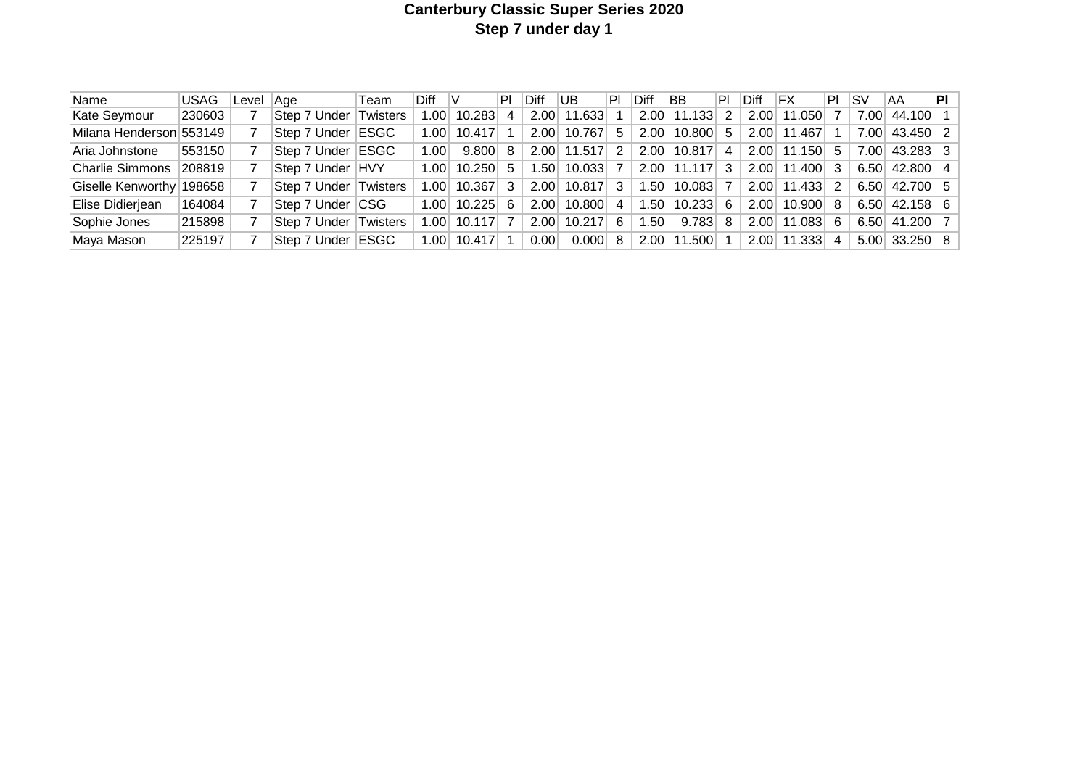# **Canterbury Classic Super Series 2020 Step 7 under day 1**

| Name                     | <b>USAG</b> | Level | Aae                   | Team         | <b>Diff</b> |        | PI        | Diff | IUB.   | P  | Diff | <b>BB</b> | PL | Diff | FX          | PL | ۱sv  | AA                        | PI |
|--------------------------|-------------|-------|-----------------------|--------------|-------------|--------|-----------|------|--------|----|------|-----------|----|------|-------------|----|------|---------------------------|----|
| Kate Seymour             | 230603      |       | ∣Step 7 Under I       | Twisters     | .00         | 10.283 | 4         | 2.00 | 11.633 |    | 2.00 | 11.133    | 2  | 2.00 | 11.050      |    | 7.00 | 44.100                    |    |
| Milana Henderson 553149  |             |       | Step 7 Under          | ESGC         | ا00.،       | 10.417 |           | 2.00 | 10.767 | 5  | 2.00 | 10.800    | 5  | 2.00 | 11.467      |    | 7.00 | 43.450 2                  |    |
| ∣Aria Johnstone          | 553150      |       | Step 7 Under          | <b>IESGC</b> | 1.00        | 9.800  | 8         | 2.00 | 11.517 | 2  | 2.00 | 10.817    | 4  | 2.00 | 11.150      | -5 | 7.00 | 43.283 3                  |    |
| Charlie Simmons          | 208819      |       | Step 7 Under HVY      |              | 1.00        | 10.250 | -5        | .50  | 10.033 |    | 2.00 | 11.117    | 3  | 2.00 | 11.400      | 3  | 6.50 | 42.800 4                  |    |
| Giselle Kenworthy 198658 |             |       | Step 7 Under Twisters |              | .001        | 10.367 | $3 \cdot$ | 2.00 | 10.817 | -3 | .50  | 10.083    |    |      | 2.00 11.433 | 2  |      | $6.50 \mid 42.700 \mid 5$ |    |
| Elise Didierjean         | 164084      |       | Step 7 Under CSG      |              | 1.00        | 10.225 | 6         | 2.00 | 10.800 | 4  | .50  | 10.233    | -6 | 2.00 | 10.900      | 8  |      | $6.50$ 42.158 6           |    |
| Sophie Jones             | 215898      |       | Step 7 Under li       | Twisters     | .00.        | 10.117 |           | 2.00 | 10.217 | -6 | .50  | 9.783     | -8 | 2.00 | 11.083      | 6  |      | $6.50$ 41.200 7           |    |
| Maya Mason               | 225197      |       | Step 7 Under          | <b>ESGC</b>  | .00         | 10.417 |           | 0.00 | 0.000  | 8  | 2.00 | 11.500    |    | 2.00 | 11.333      | 4  |      | $5.00$ 33.250 8           |    |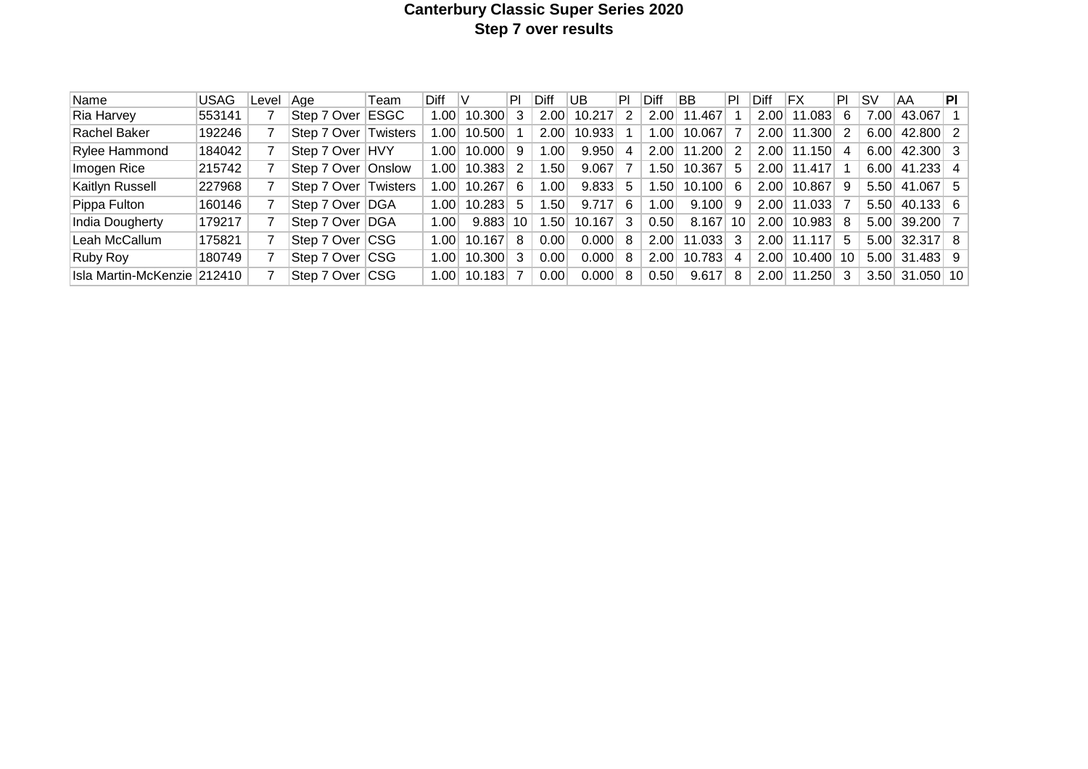# **Canterbury Classic Super Series 2020 Step 7 over results**

| Name                        | <b>USAG</b> | Level | Aae         | Team            | Diff             |        | ΡI | Diff             | UB     | PI | Diff | BB     | PI | Diff | ΙFΧ    | PI  | ۱s۷  | AA              | ΡI |
|-----------------------------|-------------|-------|-------------|-----------------|------------------|--------|----|------------------|--------|----|------|--------|----|------|--------|-----|------|-----------------|----|
| Ria Harvey                  | 553141      |       | Step 7 Over | <b>ESGC</b>     | 1.00             | 10.300 | -3 | 2.00             | 10.217 | 2  | 2.00 | 11.467 |    | 2.00 | 11.083 | -6  | 7.00 | 43.067          |    |
| Rachel Baker                | 192246      |       | Step 7 Over | <b>Twisters</b> | .00 <sub>1</sub> | 10.500 |    | 2.00             | 10.933 |    | .001 | 10.067 |    | 2.00 | 11.300 |     | 6.00 | 42,800 2        |    |
| Rylee Hammond               | 184042      |       | Step 7 Over | <b>HVY</b>      | 1.00             | 10.000 | -9 | .00              | 9.950  | 4  | 2.00 | 11.200 | 2  | 2.00 | 11.150 | 4   | 6.00 | 42.300 3        |    |
| Imogen Rice                 | 215742      |       | Step 7 Over | Onslow          | 1.00             | 10.383 |    | .50              | 9.067  |    | .50  | 10.367 | 5  | 2.00 | 11.417 |     | 6.00 | $41.233 \mid 4$ |    |
| Kaitlyn Russell             | 227968      |       | Step 7 Over | Twisters        | .001             | 10.267 | 6  | .00              | 9.833  | 5  | .50  | 10.100 | 6  | 2.00 | 10.867 | -9  | 5.50 | 41.067 5        |    |
| Pippa Fulton                | 160146      |       | Step 7 Over | <b>DGA</b>      | 1.00             | 10.283 | 5  | .50              | 9.717  | 6  | .001 | 9.100  | 9  | 2.00 | 11.033 |     | 5.50 | 40.133 6        |    |
| India Dougherty             | 179217      |       | Step 7 Over | <b>DGA</b>      | 1.00             | 9.883  | 10 | .50 <sub>1</sub> | 10.167 | 3  | 0.50 | 8.167  | 10 | 2.00 | 10.983 | - 8 | 5.00 | 39.200 7        |    |
| Leah McCallum               | 175821      |       | Step 7 Over | $ {\sf CSG} $   | 1.00             | 10.167 | 8  | 0.00             | 0.0001 | 8  | 2.00 | 11.033 | 3  | 2.00 | 11.117 | 5   | 5.00 | $32.317$ 8      |    |
| <b>Ruby Roy</b>             | 180749      |       | Step 7 Over | ∣CSG            | 1.00             | 10.300 | 3  | 0.00             | 0.000  | 8  | 2.00 | 10.783 | 4  | 2.00 | 10.400 | -10 |      | $5.00$ 31.483 9 |    |
| Isla Martin-McKenzie 212410 |             |       | Step 7 Over | <b>ICSG</b>     | 1.00             | 10.183 |    | 0.00             | 0.000  | 8  | 0.50 | 9.617  | 8  | 2.00 | 11.250 | -3  |      | 3.50 31.050 10  |    |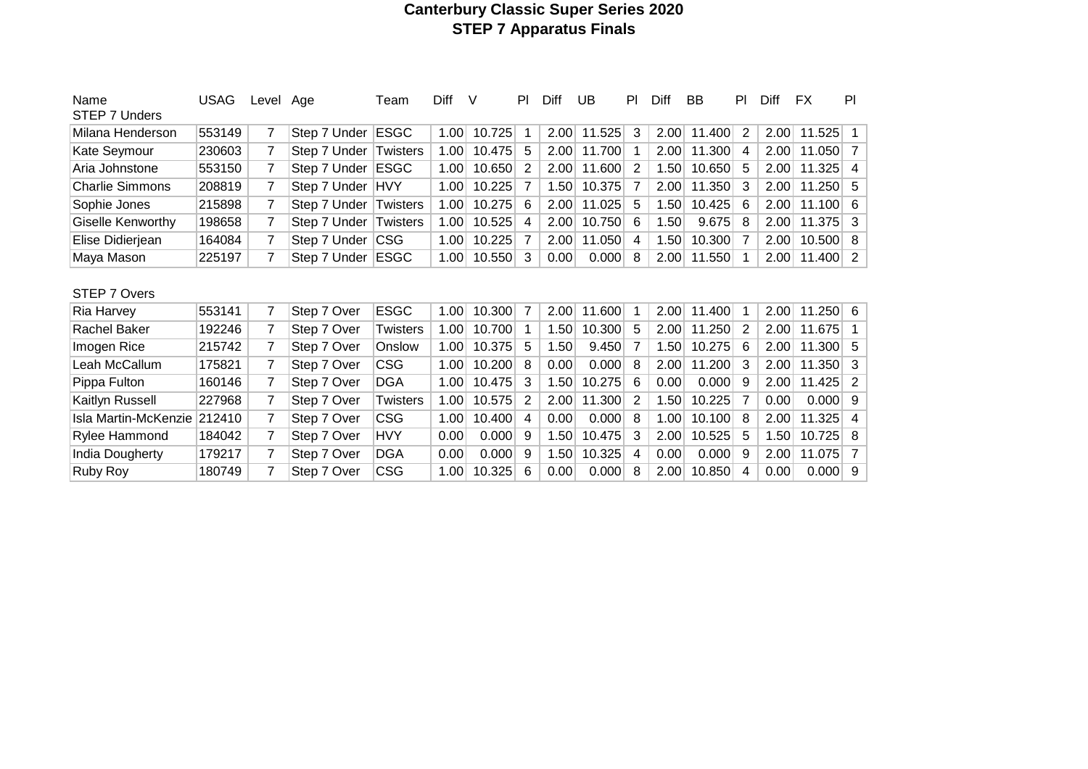### **Canterbury Classic Super Series 2020 STEP 7 Apparatus Finals**

| Name<br>STEP 7 Unders  | <b>USAG</b> | Level Age |              | Team            | Diff | V      | PI. | Diff | UB     | PI | Diff | BB     | PI. | Diff | FX.    | PI             |
|------------------------|-------------|-----------|--------------|-----------------|------|--------|-----|------|--------|----|------|--------|-----|------|--------|----------------|
| Milana Henderson       | 553149      | 7         | Step 7 Under | <b>ESGC</b>     | 1.00 | 10.725 |     | 2.00 | 11.525 | 3  | 2.00 | 11.400 | 2   | 2.00 | 11.525 | 1 <sup>1</sup> |
| Kate Seymour           | 230603      | 7         | Step 7 Under | Twisters        | 1.00 | 10.475 | 5   | 2.00 | 11.700 |    | 2.00 | 11.300 | 4   | 2.00 | 11.050 | 7              |
| Aria Johnstone         | 553150      | 7         | Step 7 Under | <b>ESGC</b>     | 1.00 | 10.650 | 2   | 2.00 | 11.600 | 2  | 1.50 | 10.650 | 5   | 2.00 | 11.325 | $\overline{4}$ |
| <b>Charlie Simmons</b> | 208819      | 7         | Step 7 Under | HVY             | 1.00 | 10.225 |     | 1.50 | 10.375 |    | 2.00 | 11.350 | 3   | 2.00 | 11.250 | 5              |
| Sophie Jones           | 215898      | 7         | Step 7 Under | Twisters        | 1.00 | 10.275 | 6   | 2.00 | 11.025 | 5  | 1.50 | 10.425 | 6   | 2.00 | 11.100 | 6              |
| Giselle Kenworthy      | 198658      | 7         | Step 7 Under | Twisters        | 1.00 | 10.525 | 4   | 2.00 | 10.750 | 6  | 1.50 | 9.675  | 8   | 2.00 | 11.375 | 3              |
| Elise Didierjean       | 164084      | 7         | Step 7 Under | <b>CSG</b>      | 1.00 | 10.225 |     | 2.00 | 11.050 | 4  | 1.50 | 10.300 | 7   | 2.00 | 10.500 | 8              |
| Maya Mason             | 225197      | 7         | Step 7 Under | ESGC            | 1.00 | 10.550 | 3   | 0.00 | 0.000  | 8  | 2.00 | 11.550 |     | 2.00 | 11.400 | $\overline{2}$ |
| STEP 7 Overs           |             |           |              |                 |      |        |     |      |        |    |      |        |     |      |        |                |
| Ria Harvey             | 553141      | 7         | Step 7 Over  | <b>ESGC</b>     | 1.00 | 10.300 | 7   | 2.00 | 11.600 |    | 2.00 | 11.400 |     | 2.00 | 11.250 | 6              |
| Rachel Baker           | 192246      | 7         | Step 7 Over  | Twisters        | 1.00 | 10.700 |     | 1.50 | 10.300 | 5  | 2.00 | 11.250 | 2   | 2.00 | 11.675 | 1.             |
| Imogen Rice            | 215742      | 7         | Step 7 Over  | Onslow          | 1.00 | 10.375 | 5   | 1.50 | 9.450  | 7  | 1.50 | 10.275 | 6   | 2.00 | 11.300 | 5              |
| Leah McCallum          | 175821      |           | Step 7 Over  | <b>CSG</b>      | 1.00 | 10.200 | 8   | 0.00 | 0.000  | 8  | 2.00 | 11.200 | 3   | 2.00 | 11.350 | 3              |
| Pippa Fulton           | 160146      | 7         | Step 7 Over  | DGA             | 1.00 | 10.475 | 3   | 1.50 | 10.275 | 6  | 0.00 | 0.000  | 9   | 2.00 | 11.425 | 2              |
| Kaitlyn Russell        | 227968      | 7         | Step 7 Over  | <b>Twisters</b> | 1.00 | 10.575 | 2   | 2.00 | 11.300 | 2  | 1.50 | 10.225 | 7   | 0.00 | 0.000  | 9              |
| Isla Martin-McKenzie   | 212410      | 7         | Step 7 Over  | <b>CSG</b>      | 1.00 | 10.400 | 4   | 0.00 | 0.000  | 8  | 1.00 | 10.100 | 8   | 2.00 | 11.325 | 4              |
| Rylee Hammond          | 184042      | 7         | Step 7 Over  | <b>HVY</b>      | 0.00 | 0.000  | 9   | 1.50 | 10.475 | 3  | 2.00 | 10.525 | 5   | 1.50 | 10.725 | 8              |
| India Dougherty        | 179217      |           | Step 7 Over  | <b>DGA</b>      | 0.00 | 0.000  | 9   | 1.50 | 10.325 | 4  | 0.00 | 0.000  | 9   | 2.00 | 11.075 | $\overline{7}$ |
| Ruby Roy               | 180749      |           | Step 7 Over  | CSG             | 1.00 | 10.325 | 6   | 0.00 | 0.000  | 8  | 2.00 | 10.850 | 4   | 0.00 | 0.000  | 9              |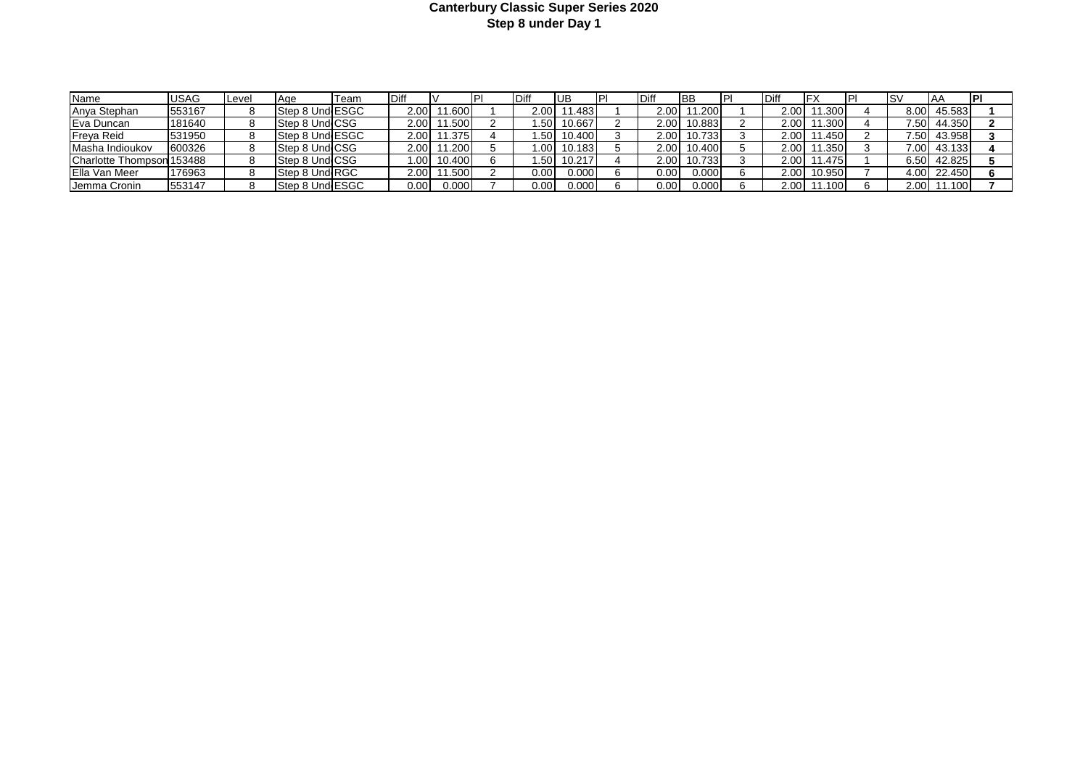#### **Canterbury Classic Super Series 2020 Step 8 under Day 1**

| Name                      | <b>JSAG</b> | <b>Level</b> | <b>IAae</b>     | Team | Diff   |             |                   | IUB         | IP | Diff         | <b>IBB</b>  | P | <b>IDiff</b> |             |        | IAA         | <b>IPI</b> |
|---------------------------|-------------|--------------|-----------------|------|--------|-------------|-------------------|-------------|----|--------------|-------------|---|--------------|-------------|--------|-------------|------------|
| Anya Stephan              | 553167      |              | Step 8 UndlESGC |      | 2.00   | 11.600      | 2.00 <sub>l</sub> | 11.4831     |    |              | 2.00 11.200 |   | 2.00         | 11.300      | 8.00 l | 45.583      |            |
| Eva Duncan                | 181640      |              | Step 8 Und CSG  |      | 2.00 L | 11.500      | .501              | 10.667      |    |              | 2.00 10.883 |   | 2.001        | 11.300      |        | 7.50 44.350 |            |
| Freya Reid                | 531950      |              | Step 8 Und ESGC |      |        | 2.00 11.375 |                   | 1.50 10.400 |    |              | 2.00 10.733 |   | 2.00 l       | 11.450      |        | 7.50 43.958 |            |
| Masha Indioukov           | 600326      |              | Step 8 Und CSG  |      | 2.00 L | 11.200      |                   | 1.00 10.183 |    |              | 2.00 10.400 |   | 2.00 l       | 11.350      |        | 7.00 43.133 |            |
| Charlotte Thompson 153488 |             |              | Step 8 Und CSG  |      |        | 1.00 10.400 |                   | 1.50 10.217 |    |              | 2.00 10.733 |   |              | 2.00 11.475 |        | 6.50 42.825 |            |
| <b>IElla Van Meer</b>     | 176963      |              | Step 8 Und RGC  |      | 2.00 l | 11.500      | 0.00              | 0.000       |    | $0.00 \vert$ | 0.000       |   | 2.00         | 10.950      |        | 4.00 22.450 |            |
| Jemma Cronin              | 553147      |              | Step 8 Und ESGC |      | 0.00   | 0.000       | 0.00              | 0.000       |    | 0.001        | 0.000       |   | 2.00 l       | 11.100      |        | 2.00 11.100 |            |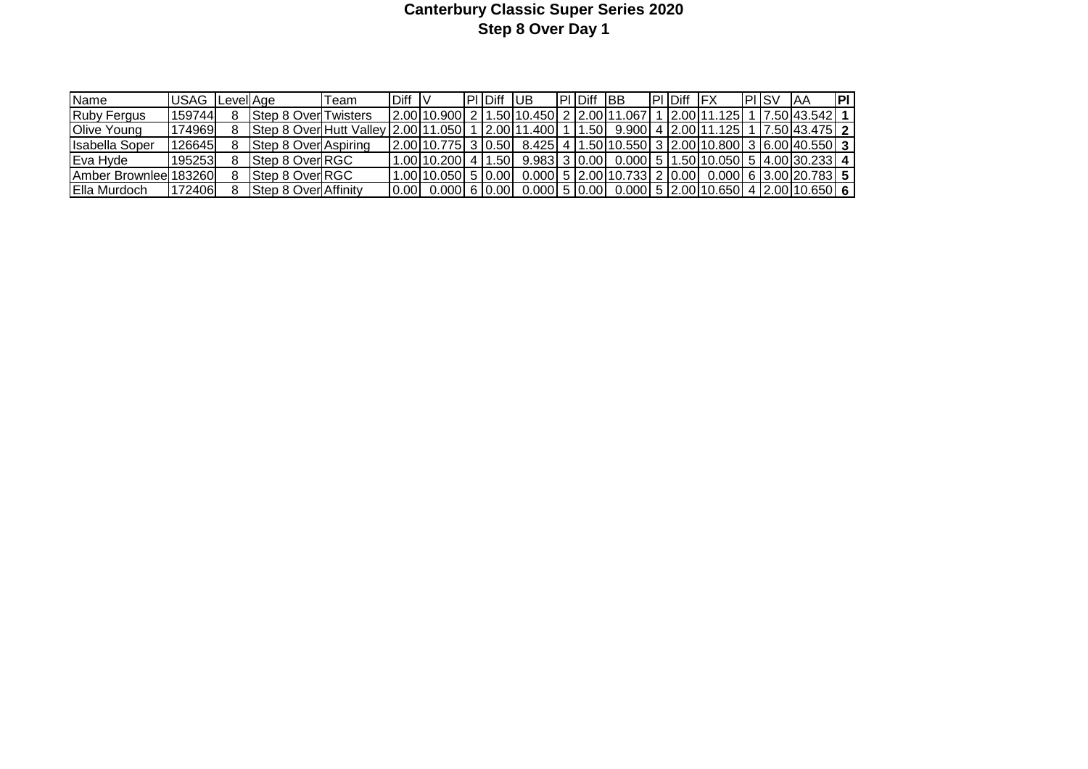# **Canterbury Classic Super Series 2020 Step 8 Over Day 1**

| <b>Name</b>                    | <b>IUSAG</b> Level Age |                                 | ⊺eam | Diff  |                              | <b>IPIIDiff</b> | -lub          | <b>PIDiff IBB</b> |                                                                                   | <b>IPI Diff</b> | <b>IFX</b>             | <b>IPHSV</b> | IAA.            | <b>IPI</b> |
|--------------------------------|------------------------|---------------------------------|------|-------|------------------------------|-----------------|---------------|-------------------|-----------------------------------------------------------------------------------|-----------------|------------------------|--------------|-----------------|------------|
| <b>IRuby Fergus</b>            | 159744                 | <b>IStep 8 OverITwisters</b>    |      |       | 2.00110.9001 2 11.50110.4501 |                 |               | 12.001.           | 1.067'                                                                            |                 | 2.00 11.125            |              | 17.50143.54211  |            |
| <b>Olive Young</b>             | 74969                  | <b>IStep 8 OverIHutt Vallev</b> |      |       | 2.00111.0501                 |                 | 12.00111.4001 | 1.50              |                                                                                   |                 | 9.9001 4 12.00111.1251 |              | 17.50143.4751 2 |            |
| Ilsabella Soper                | `26645                 | <b>Step 8 Over Aspiring</b>     |      |       | 2.00 10.775 3 0.50 8.425 4   |                 |               |                   | 11.50110.5501 3 2.00110.8001 3 16.00140.5501 3                                    |                 |                        |              |                 |            |
| Eva Hyde                       | 195253                 | Step 8 Over RGC                 |      |       |                              |                 |               |                   | 1.00 10.200  4  1.50  9.983  3  0.00  0.000  5  1.50 10.050  5  4.00 30.233  4    |                 |                        |              |                 |            |
| <b>IAmber Brownleel183260L</b> |                        | <b>IStep 8 OverIRGC</b>         |      |       |                              |                 |               |                   | 0.00 10.050 5 0.00 0.000 5 2.00 10.733 2 0.00 0.000 6 3.00 20.783 5               |                 |                        |              |                 |            |
| <b>IElla Murdoch</b>           | 72406                  | <b>Step 8 Over Affinity</b>     |      | 0.001 |                              |                 |               |                   | $[0.000]$ 6 $[0.00]$ 0.000 5 $[0.00]$ 0.000 5 $[2.00]$ 10.650 4 $[2.00]$ 10.650 6 |                 |                        |              |                 |            |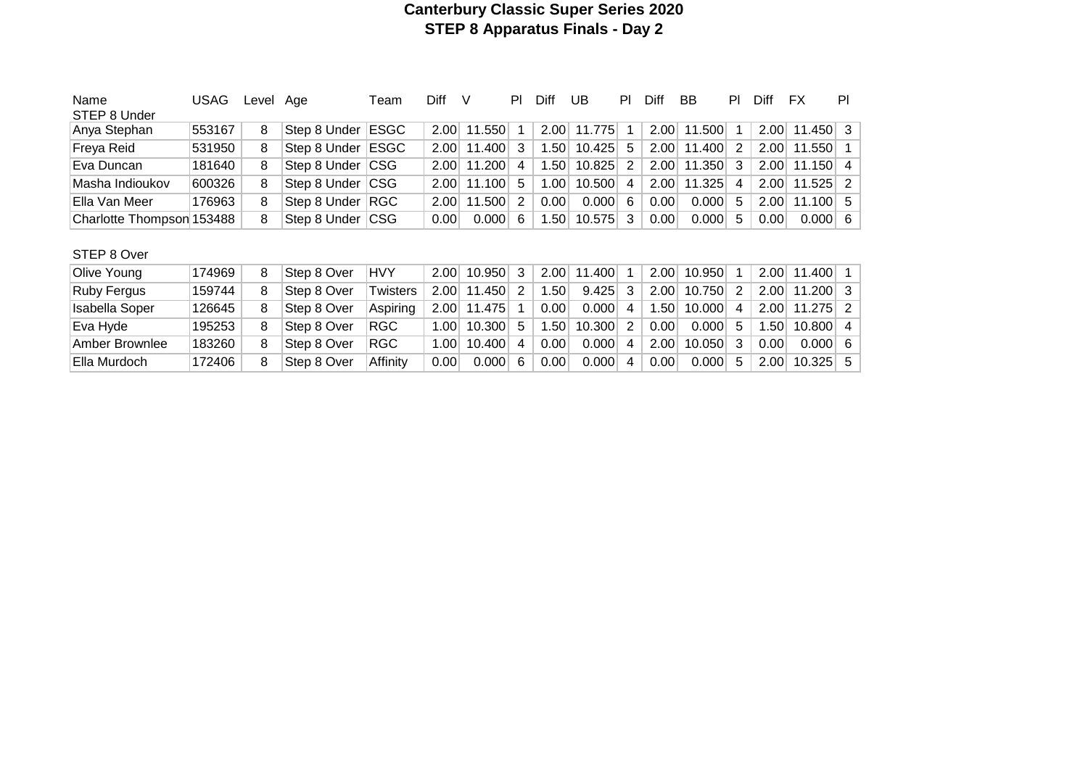# **Canterbury Classic Super Series 2020 STEP 8 Apparatus Finals - Day 2**

| Name<br>STEP 8 Under      | USAG   | Level | Aae                 | Геаm | Diff | V          | ΡI | Diff | UB          | PI | Diff | BB          | PL | Diff | FX                    | PI |
|---------------------------|--------|-------|---------------------|------|------|------------|----|------|-------------|----|------|-------------|----|------|-----------------------|----|
| Anya Stephan              | 553167 | 8     | Step 8 Under ESGC   |      | 2.00 | 11.550     |    |      | 2.00 11.775 |    |      | 2.00 11.500 |    | 2.00 | $11.450$ 3            |    |
| Freya Reid                | 531950 | 8     | Step 8 Under   ESGC |      | 2.00 | $11.400$ 3 |    | .501 | 10.425      | 5  | 2.00 | 11.400      | 2  | 2.00 | $11.550$ 1            |    |
| Eva Duncan                | 181640 | 8     | Step 8 Under CSG    |      | 2.00 | 11.200     | 4  | 1.50 | 10.825      | 2  |      | 2.00 11.350 | -3 | 2.00 | $11.150$ 4            |    |
| Masha Indioukov           | 600326 | 8     | Step 8 Under CSG    |      | 2.00 | 11.100     | -5 | 1.00 | 10.500      | 4  |      | 2.00 11.325 | 4  | 2.00 | $11.525$ 2            |    |
| Ella Van Meer             | 176963 | 8     | Step 8 Under RGC    |      | 2.00 | 11.500     | 2  | 0.00 | 0.000       | 6  | 0.00 | 0.000       | -5 | 2.00 | $11.100 \mid 5$       |    |
| Charlotte Thompson 153488 |        | 8     | Step 8 Under CSG    |      | 0.00 | 0.000      | -6 | .50  | 10.575      | 3  | 0.00 | 0.000       | -5 | 0.00 | $0.000 \, \vert \, 6$ |    |

# STEP 8 Over

| Olive Young    | 174969 | 8 | Step 8 Over | <b>HVY</b> |      | 2.00 10.950       | 3  |                  | $2.00$ 11.400 |                | 2.00 | 10.950     |      | $2.00$ 11.400 1       |  |
|----------------|--------|---|-------------|------------|------|-------------------|----|------------------|---------------|----------------|------|------------|------|-----------------------|--|
| Ruby Fergus    | 159744 | 8 | Step 8 Over | Twisters   |      | $2.00$ 11.450     |    | .50 <sub>1</sub> | 9.425         |                | 2.00 | $10.750$ 2 |      | $2.00$ 11.200 3       |  |
| Isabella Soper | 126645 |   | Step 8 Over | Aspiring   |      | $2.00$ 11.475     |    | 0.00             | 0.000         | $\overline{4}$ | .50  | $10.000$ 4 |      | $2.00$ 11.275 2       |  |
| Eva Hyde       | 195253 | 8 | Step 8 Over | RGC        |      | $1.00$   $10.300$ | 5. | .50 <sub>1</sub> | 10.300        |                | 0.00 | $0.000$ 5  | .50  | $10.800$ 4            |  |
| Amber Brownlee | 183260 | 8 | Step 8 Over | RGC        |      | $1.00$   $10.400$ | 4  | 0.00             | 0.000         | 4              | 2.00 | $10.050$ 3 | 0.00 | $0.000 \, \vert \, 6$ |  |
| Ella Murdoch   | 172406 | 8 | Step 8 Over | Affinity   | 0.00 | 0.000             | 6  | 0.00             | 0.000         | 4              | 0.00 | $0.000$ 5  | 2.00 | $10.325$ 5            |  |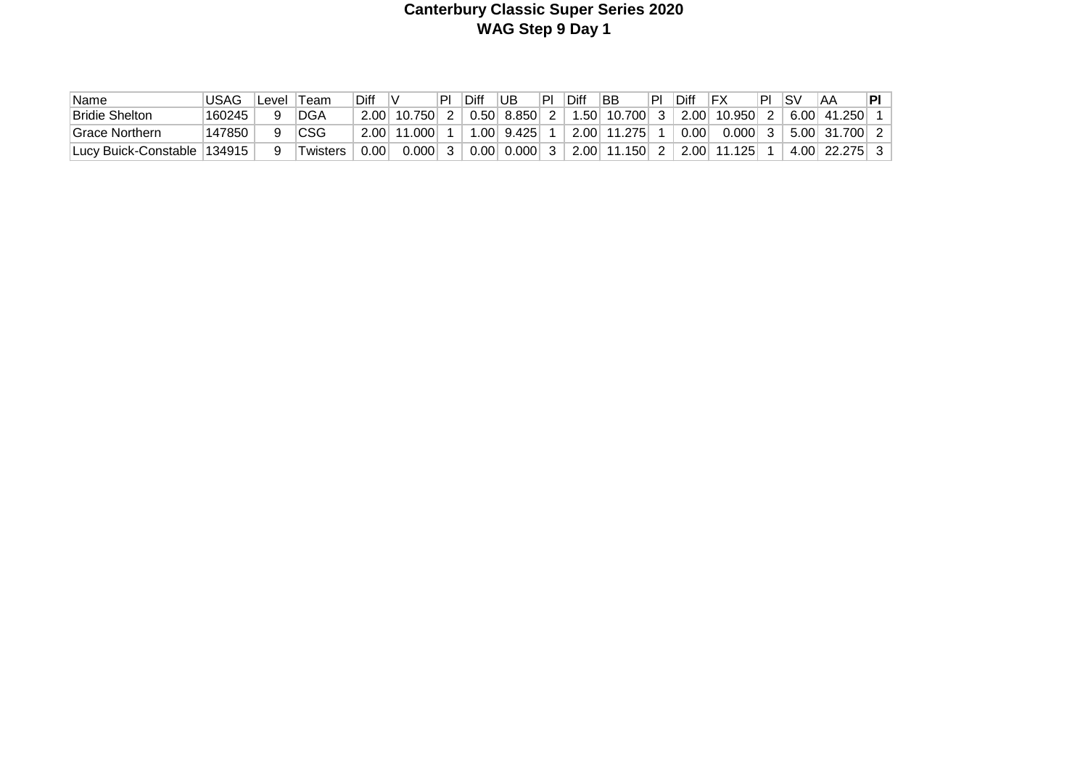# **Canterbury Classic Super Series 2020 WAG Step 9 Day 1**

| 'Name                   | JSAG    | _evel | Team       | Diff |                   | PI | Diff | UB    | PI | Diff | BB                           | ΡI | Diff |        | ÞI | SV   | AΑ              | PL |
|-------------------------|---------|-------|------------|------|-------------------|----|------|-------|----|------|------------------------------|----|------|--------|----|------|-----------------|----|
| <b>Bridie Shelton</b>   | 160245  |       | <b>DGA</b> | 2.00 | .750              |    | 0.50 | 8.850 |    | .501 | $^{\circ}$ 10.700 $^{\circ}$ |    | 2.00 | 10.950 |    | 6.00 | 41.250          |    |
| ⊺Grace Northern         | 147850  |       | CSG        | 001  | .000 <sub>1</sub> |    | .001 | 9.425 |    |      | 2.00 11.275                  |    | 0.00 | 9.000  |    |      | $5.00$ 31.700 2 |    |
| ⊺Lucv Buick-Constable ⊺ | 134915° |       | Twisters   | 0.00 | $0.000$ .         |    | 0.00 | 0.000 |    |      | 2.00 11.150                  |    | 2.00 | .125   |    | 4.00 | 22.275          |    |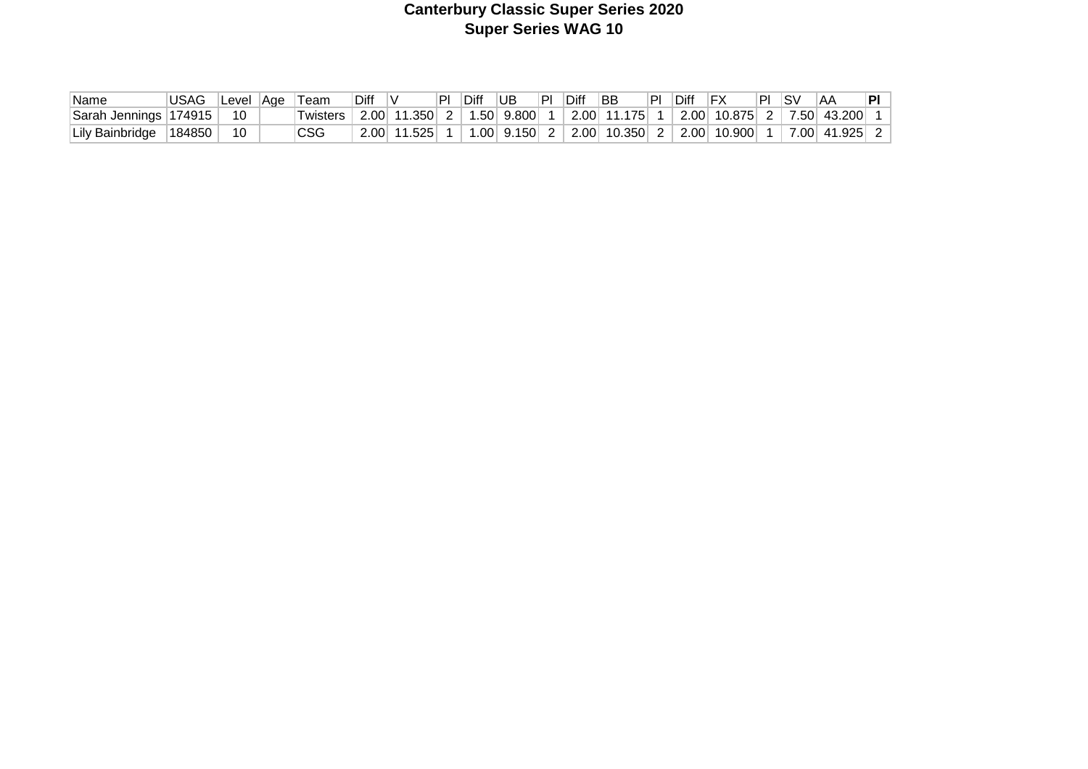# **Canterbury Classic Super Series 2020 Super Series WAG 10**

| Name                  | USAG             | Level  Age | 'Team      | Diff |                 | Diff UB | PL | Diff | ∣BB                                      | PI | <b>IDiff</b> | IFX | \PI⊹ | ∣SV | ۱AA                               | ÞІ |
|-----------------------|------------------|------------|------------|------|-----------------|---------|----|------|------------------------------------------|----|--------------|-----|------|-----|-----------------------------------|----|
| Sarah Jennings 174915 |                  | -10        | Twisters,  |      | $2.00$ 11.350 2 |         |    |      | $\vert$ 1.50 9.800 1 2.00 11.175 1       |    |              |     |      |     | $\vert$ 2.00 10.875 2 7.50 43.200 |    |
| Lily Bainbridge       | $ 184850\rangle$ |            | <b>CSG</b> | 2.00 | 11.525          |         |    |      | $1.00$ 9.150 2 2.00 10.350 2 2.00 10.900 |    |              |     |      |     | $\mid$ 7.00 41.925 $\mid$         |    |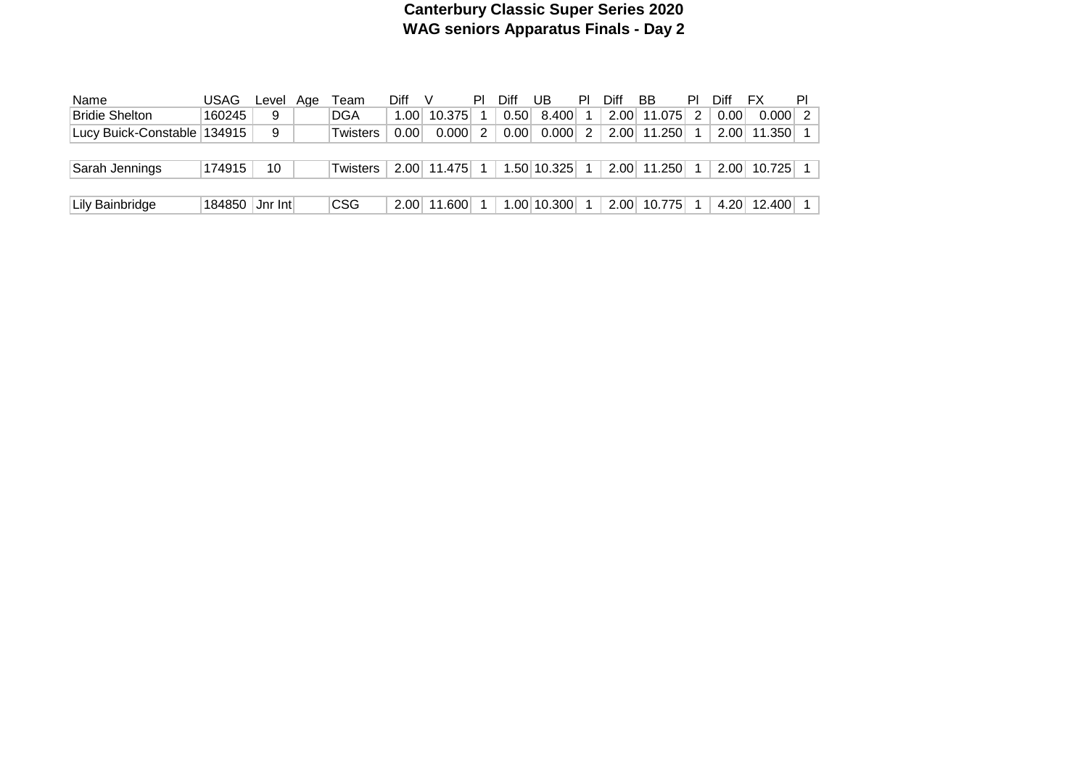# **Canterbury Classic Super Series 2020 WAG seniors Apparatus Finals - Day 2**

| Name                          | USAG             | Level | Aae | ⊺eam            | Diff        |             | ΡI | Diff | UB          | PI            | Diff | BB          | PI | Diff | FX     | PI            |
|-------------------------------|------------------|-------|-----|-----------------|-------------|-------------|----|------|-------------|---------------|------|-------------|----|------|--------|---------------|
| <b>Bridie Shelton</b>         | 160245           | 9     |     | <b>DGA</b>      | 1.001       | 10.375      |    | 0.50 | 8.400       |               |      | 2.00 11.075 |    | 0.00 | 0.000  | $\mathcal{P}$ |
| Lucy Buick-Constable   134915 |                  | 9     |     | <b>Twisters</b> | $0.00\vert$ | 0.0001      | 2  | 0.00 | 0.000       | $\mathcal{P}$ |      | 2.00 11.250 |    | 2.00 | 11.350 |               |
|                               |                  |       |     |                 |             |             |    |      |             |               |      |             |    |      |        |               |
| Sarah Jennings                | 174915           | 10    |     | Twisters        |             | 2.00 11.475 |    |      | 1.50 10.325 |               |      | 2.00 11.250 |    | 2.00 | 10.725 |               |
|                               |                  |       |     |                 |             |             |    |      |             |               |      |             |    |      |        |               |
| Lily Bainbridge               | 184850   Jnr Int |       |     | <b>CSG</b>      | 2.00        | 11.600      |    |      | 1.00 10.300 |               |      | 2.00 10.775 |    | 4.20 | 12.400 |               |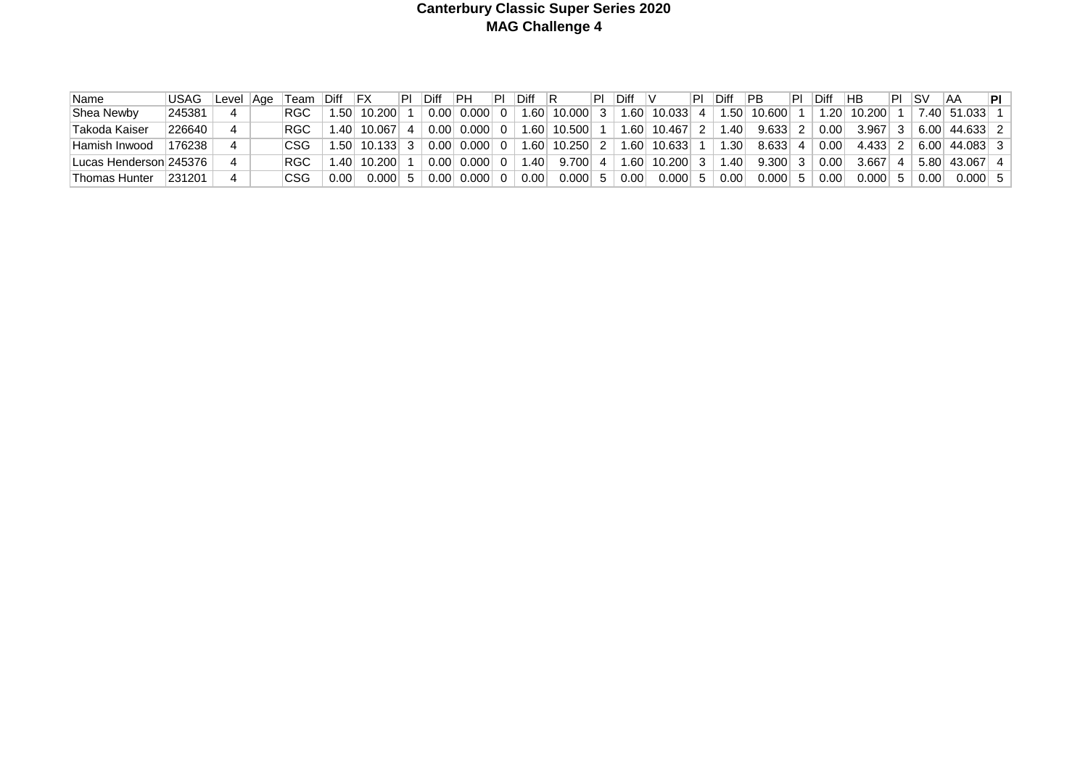#### **Canterbury Classic Super Series 2020 MAG Challenge 4**

| Name                                  | <b>USAG</b>         | Level | Aae | Team       | Diff | IFX    |               | Diff | PН    | ΡI | Diff             |        | Diff    |        | Diff          | ∣PB    | ⊺ P | Diff | НB             |   | ∣SV  | ΆA              | 'PI ⊹ |
|---------------------------------------|---------------------|-------|-----|------------|------|--------|---------------|------|-------|----|------------------|--------|---------|--------|---------------|--------|-----|------|----------------|---|------|-----------------|-------|
| Shea Newby                            | 245381              |       |     | RGC        | .50  | 10.200 |               | 0.00 | 0.000 |    | .60 <sub>1</sub> | 10.000 | .60     | 10.033 | .50           | 10.600 |     | .20  | 10.200         |   |      | 7.40 51.033     |       |
| 'Takoda Kaiser                        | 226640              |       |     | <b>RGC</b> | .40  | 10.067 |               | 0.00 | 0.000 |    | .60              | 10.500 | ا 60. ا | 10.467 | $.40^{\circ}$ | 9.633  |     | 0.00 | 3.967          |   |      | $6.00$ 44.633 2 |       |
| Hamish Inwood                         | 176238              |       |     | CSG        | 1.50 | 10.133 |               | 0.00 | 0.000 |    | .60              | 10.250 | .60     | 10.633 | 1.30          | 8.633  |     | 0.00 | 4.433          |   |      | $6.00$ 44.083 3 |       |
| <sup>∣</sup> Lucas Henderson।245376 । |                     |       |     | RGC        | .40  | 10.200 |               | 0.00 | 0.000 |    | .40              | 9.700  | .60     | 10.200 | '40.،         | 9.300  |     | 0.00 | 3.667          | Δ |      | 5.80 43.067     | 4     |
| Thomas Hunter                         | <sup>1</sup> 231201 |       |     | CSG        | 0.00 | 0.000  | $\mathcal{D}$ | 0.00 | 0.000 |    | 0.00             | 0.000  | 0.00    | 0.000  | 0.00          | 0.000  |     | 0.00 | $0.000$ $\mid$ |   | 0.00 | $0.000$ 5       |       |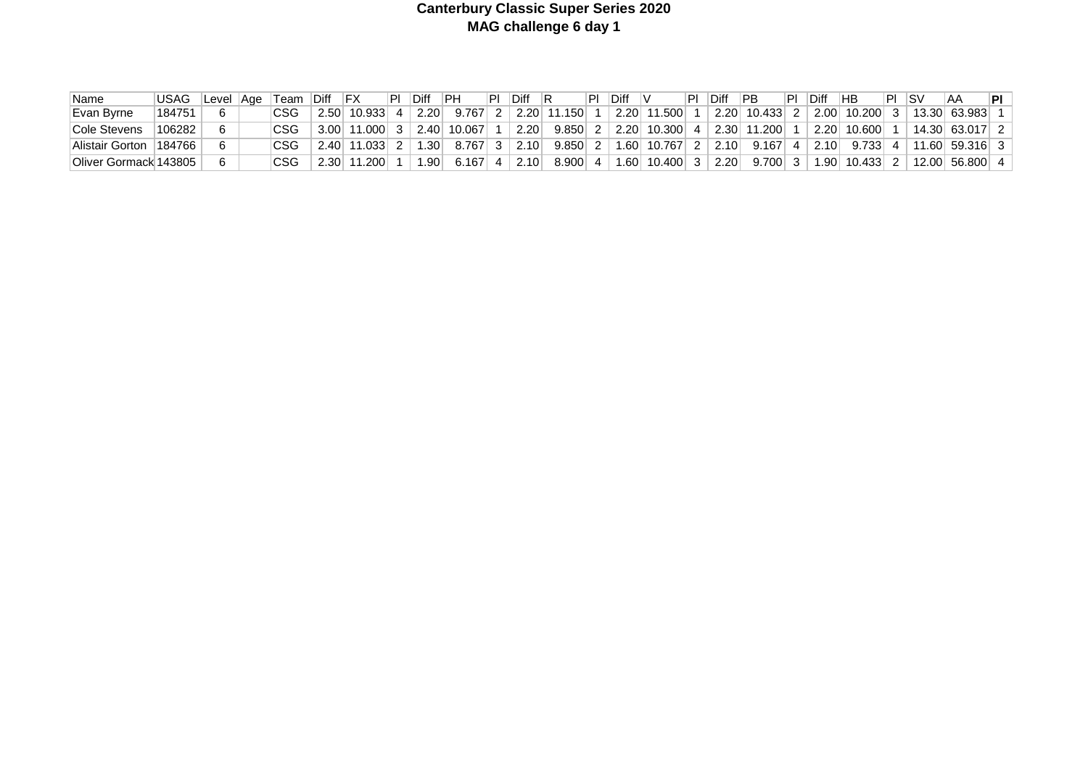#### **Canterbury Classic Super Series 2020 MAG challenge 6 day 1**

| 'Name                 | <b>USAG</b> | Level | ∣Age | Team | Diff | IFX    | Diff | IPH    | Diff |       | <b>Diff</b> |            | ⊩Diff | ∣PB    | Diff | HB     | ום | SV | ΆA             | PI I |
|-----------------------|-------------|-------|------|------|------|--------|------|--------|------|-------|-------------|------------|-------|--------|------|--------|----|----|----------------|------|
| Evan Byrne            | 184751      |       |      | CSG  | 2.50 | 10.933 | 2.20 | 9.767  | 2.20 | .1501 | 2.20        | 1.500      | 2.20  | 10.433 | 2.00 | 10.200 |    |    | 13.30 63.983   |      |
| Cole Stevens          | 106282      |       |      |      | 3.00 | 1.000  | 2.40 | 10.067 | 2.20 | 9.850 | 2.20        | $10.300$ 4 | 2.30  | 11.200 | 2.20 | 10.600 |    |    | 14.30 63.017   |      |
| Alistair Gorton       | 184766      |       |      |      | 2.40 | 11.033 | .30  | 8.767  | 2.10 | 9.850 | 1.60        | 10.767     | 2.10  | 9.167  | 2.10 | 9.733  |    |    | 11.60 59.316 3 |      |
| Oliver Gormack 143805 |             |       |      |      | 2.30 | 1.2001 | .90  | 3.167  | 2.10 | 8.900 | 1.60        | 10.400     | 2.20  | 9.700  | .90  | 10.433 |    |    | 12.00 56.800 4 |      |